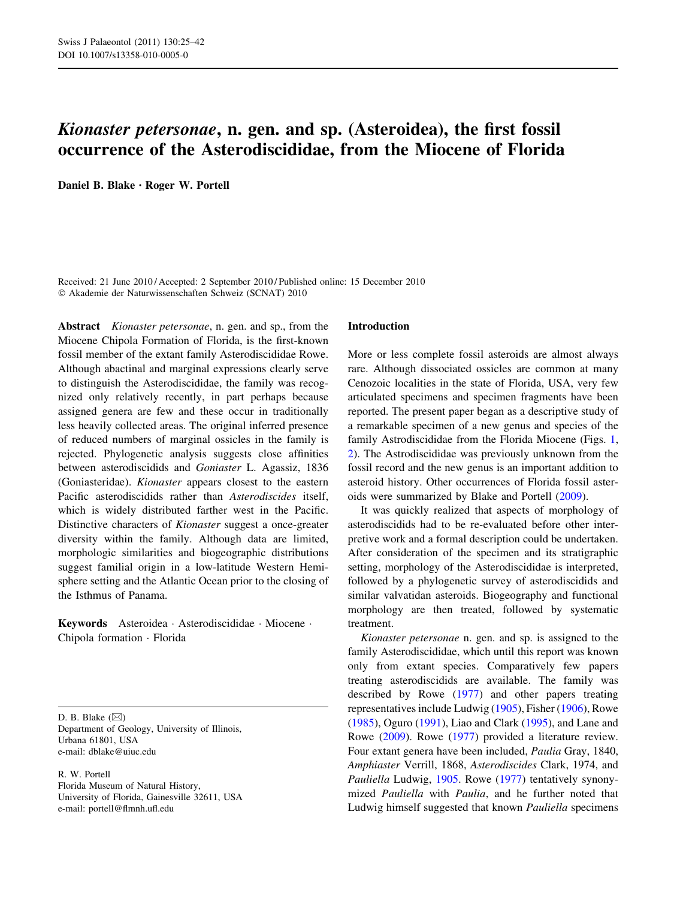# Kionaster petersonae, n. gen. and sp. (Asteroidea), the first fossil occurrence of the Asterodiscididae, from the Miocene of Florida

Daniel B. Blake • Roger W. Portell

Received: 21 June 2010 / Accepted: 2 September 2010 / Published online: 15 December 2010 - Akademie der Naturwissenschaften Schweiz (SCNAT) 2010

Abstract *Kionaster petersonae*, n. gen. and sp., from the Miocene Chipola Formation of Florida, is the first-known fossil member of the extant family Asterodiscididae Rowe. Although abactinal and marginal expressions clearly serve to distinguish the Asterodiscididae, the family was recognized only relatively recently, in part perhaps because assigned genera are few and these occur in traditionally less heavily collected areas. The original inferred presence of reduced numbers of marginal ossicles in the family is rejected. Phylogenetic analysis suggests close affinities between asterodiscidids and Goniaster L. Agassiz, 1836 (Goniasteridae). Kionaster appears closest to the eastern Pacific asterodiscidids rather than Asterodiscides itself, which is widely distributed farther west in the Pacific. Distinctive characters of Kionaster suggest a once-greater diversity within the family. Although data are limited, morphologic similarities and biogeographic distributions suggest familial origin in a low-latitude Western Hemisphere setting and the Atlantic Ocean prior to the closing of the Isthmus of Panama.

Keywords Asteroidea - Asterodiscididae - Miocene - Chipola formation - Florida

D. B. Blake  $(\boxtimes)$ Department of Geology, University of Illinois, Urbana 61801, USA e-mail: dblake@uiuc.edu

R. W. Portell Florida Museum of Natural History, University of Florida, Gainesville 32611, USA e-mail: portell@flmnh.ufl.edu

#### Introduction

More or less complete fossil asteroids are almost always rare. Although dissociated ossicles are common at many Cenozoic localities in the state of Florida, USA, very few articulated specimens and specimen fragments have been reported. The present paper began as a descriptive study of a remarkable specimen of a new genus and species of the family Astrodiscididae from the Florida Miocene (Figs. [1,](#page-1-0) [2](#page-2-0)). The Astrodiscididae was previously unknown from the fossil record and the new genus is an important addition to asteroid history. Other occurrences of Florida fossil asteroids were summarized by Blake and Portell [\(2009](#page-17-0)).

It was quickly realized that aspects of morphology of asterodiscidids had to be re-evaluated before other interpretive work and a formal description could be undertaken. After consideration of the specimen and its stratigraphic setting, morphology of the Asterodiscididae is interpreted, followed by a phylogenetic survey of asterodiscidids and similar valvatidan asteroids. Biogeography and functional morphology are then treated, followed by systematic treatment.

Kionaster petersonae n. gen. and sp. is assigned to the family Asterodiscididae, which until this report was known only from extant species. Comparatively few papers treating asterodiscidids are available. The family was described by Rowe ([1977\)](#page-17-0) and other papers treating representatives include Ludwig ([1905\)](#page-17-0), Fisher [\(1906](#page-17-0)), Rowe [\(1985](#page-17-0)), Oguro ([1991\)](#page-17-0), Liao and Clark [\(1995](#page-17-0)), and Lane and Rowe [\(2009\)](#page-17-0). Rowe ([1977\)](#page-17-0) provided a literature review. Four extant genera have been included, Paulia Gray, 1840, Amphiaster Verrill, 1868, Asterodiscides Clark, 1974, and Pauliella Ludwig, [1905](#page-17-0). Rowe [\(1977](#page-17-0)) tentatively synonymized Pauliella with Paulia, and he further noted that Ludwig himself suggested that known Pauliella specimens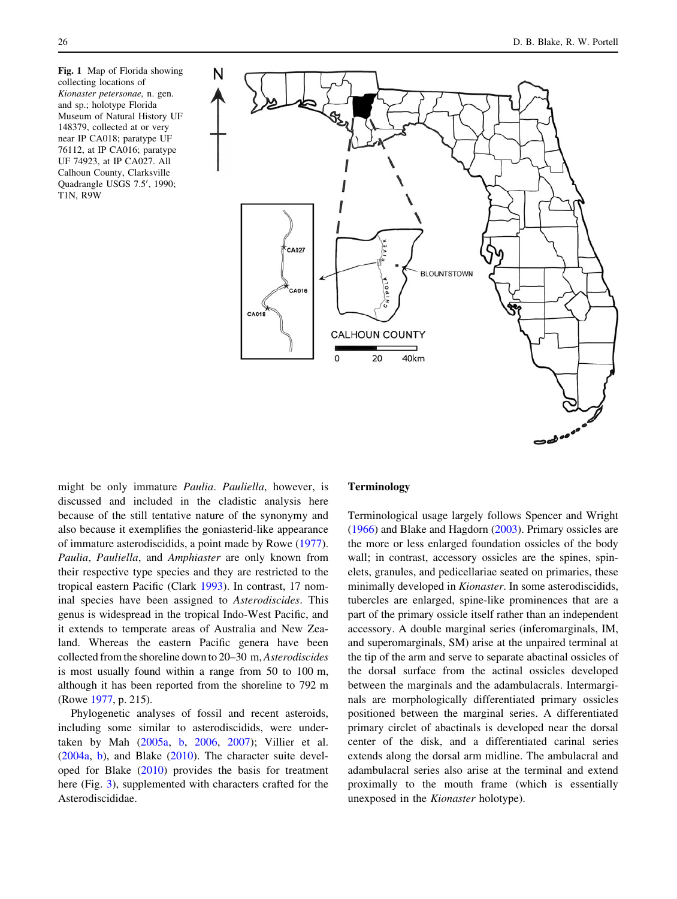<span id="page-1-0"></span>Fig. 1 Map of Florida showing collecting locations of Kionaster petersonae, n. gen. and sp.; holotype Florida Museum of Natural History UF 148379, collected at or very near IP CA018; paratype UF 76112, at IP CA016; paratype UF 74923, at IP CA027. All Calhoun County, Clarksville Quadrangle USGS 7.5', 1990; T1N, R9W



might be only immature *Paulia*. Pauliella, however, is discussed and included in the cladistic analysis here because of the still tentative nature of the synonymy and also because it exemplifies the goniasterid-like appearance of immature asterodiscidids, a point made by Rowe [\(1977](#page-17-0)). Paulia, Pauliella, and Amphiaster are only known from their respective type species and they are restricted to the tropical eastern Pacific (Clark [1993](#page-17-0)). In contrast, 17 nominal species have been assigned to Asterodiscides. This genus is widespread in the tropical Indo-West Pacific, and it extends to temperate areas of Australia and New Zealand. Whereas the eastern Pacific genera have been collected from the shoreline down to 20–30 m,Asterodiscides is most usually found within a range from 50 to 100 m, although it has been reported from the shoreline to 792 m (Rowe [1977](#page-17-0), p. 215).

Phylogenetic analyses of fossil and recent asteroids, including some similar to asterodiscidids, were undertaken by Mah ([2005a](#page-17-0), [b](#page-17-0), [2006](#page-17-0), [2007](#page-17-0)); Villier et al. [\(2004a,](#page-17-0) [b](#page-17-0)), and Blake [\(2010](#page-17-0)). The character suite developed for Blake [\(2010](#page-17-0)) provides the basis for treatment here (Fig. [3\)](#page-3-0), supplemented with characters crafted for the Asterodiscididae.

#### Terminology

Terminological usage largely follows Spencer and Wright [\(1966](#page-17-0)) and Blake and Hagdorn ([2003\)](#page-17-0). Primary ossicles are the more or less enlarged foundation ossicles of the body wall; in contrast, accessory ossicles are the spines, spinelets, granules, and pedicellariae seated on primaries, these minimally developed in *Kionaster*. In some asterodiscidids, tubercles are enlarged, spine-like prominences that are a part of the primary ossicle itself rather than an independent accessory. A double marginal series (inferomarginals, IM, and superomarginals, SM) arise at the unpaired terminal at the tip of the arm and serve to separate abactinal ossicles of the dorsal surface from the actinal ossicles developed between the marginals and the adambulacrals. Intermarginals are morphologically differentiated primary ossicles positioned between the marginal series. A differentiated primary circlet of abactinals is developed near the dorsal center of the disk, and a differentiated carinal series extends along the dorsal arm midline. The ambulacral and adambulacral series also arise at the terminal and extend proximally to the mouth frame (which is essentially unexposed in the Kionaster holotype).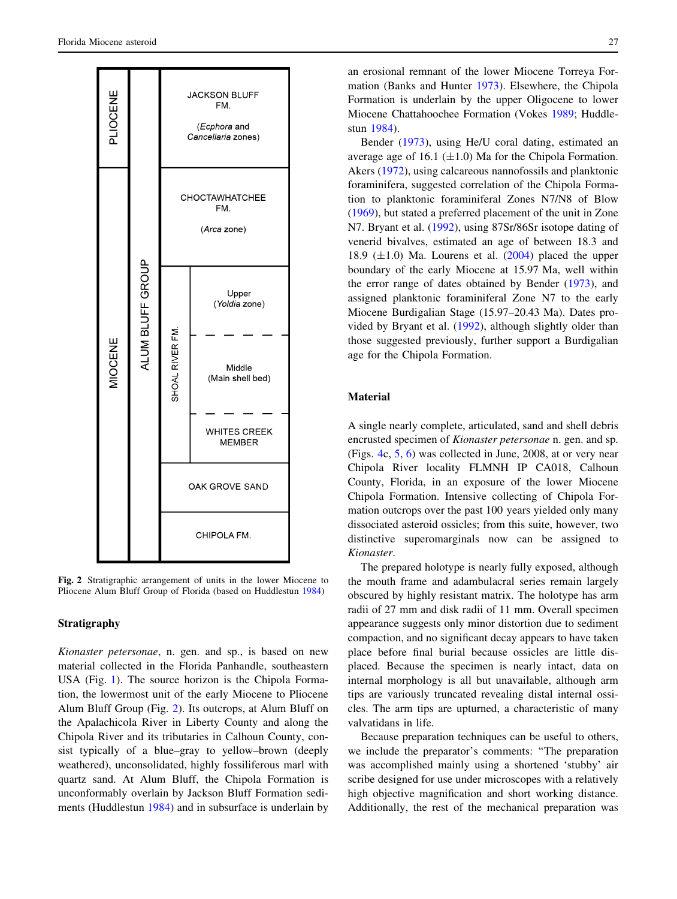<span id="page-2-0"></span>

Fig. 2 Stratigraphic arrangement of units in the lower Miocene to Pliocene Alum Bluff Group of Florida (based on Huddlestun [1984\)](#page-17-0)

#### Stratigraphy

Kionaster petersonae, n. gen. and sp., is based on new material collected in the Florida Panhandle, southeastern USA (Fig. [1](#page-1-0)). The source horizon is the Chipola Formation, the lowermost unit of the early Miocene to Pliocene Alum Bluff Group (Fig. 2). Its outcrops, at Alum Bluff on the Apalachicola River in Liberty County and along the Chipola River and its tributaries in Calhoun County, consist typically of a blue–gray to yellow–brown (deeply weathered), unconsolidated, highly fossiliferous marl with quartz sand. At Alum Bluff, the Chipola Formation is unconformably overlain by Jackson Bluff Formation sediments (Huddlestun [1984\)](#page-17-0) and in subsurface is underlain by an erosional remnant of the lower Miocene Torreya Formation (Banks and Hunter [1973](#page-17-0)). Elsewhere, the Chipola Formation is underlain by the upper Oligocene to lower Miocene Chattahoochee Formation (Vokes [1989](#page-17-0); Huddlestun [1984](#page-17-0)).

Bender ([1973\)](#page-17-0), using He/U coral dating, estimated an average age of 16.1 ( $\pm$ 1.0) Ma for the Chipola Formation. Akers ([1972\)](#page-17-0), using calcareous nannofossils and planktonic foraminifera, suggested correlation of the Chipola Formation to planktonic foraminiferal Zones N7/N8 of Blow [\(1969](#page-17-0)), but stated a preferred placement of the unit in Zone N7. Bryant et al. ([1992\)](#page-17-0), using 87Sr/86Sr isotope dating of venerid bivalves, estimated an age of between 18.3 and 18.9 ( $\pm$ 1.0) Ma. Lourens et al. [\(2004](#page-17-0)) placed the upper boundary of the early Miocene at 15.97 Ma, well within the error range of dates obtained by Bender ([1973\)](#page-17-0), and assigned planktonic foraminiferal Zone N7 to the early Miocene Burdigalian Stage (15.97–20.43 Ma). Dates provided by Bryant et al. [\(1992](#page-17-0)), although slightly older than those suggested previously, further support a Burdigalian age for the Chipola Formation.

# Material

A single nearly complete, articulated, sand and shell debris encrusted specimen of Kionaster petersonae n. gen. and sp. (Figs. [4](#page-4-0)c, [5](#page-5-0), [6](#page-6-0)) was collected in June, 2008, at or very near Chipola River locality FLMNH IP CA018, Calhoun County, Florida, in an exposure of the lower Miocene Chipola Formation. Intensive collecting of Chipola Formation outcrops over the past 100 years yielded only many dissociated asteroid ossicles; from this suite, however, two distinctive superomarginals now can be assigned to Kionaster.

The prepared holotype is nearly fully exposed, although the mouth frame and adambulacral series remain largely obscured by highly resistant matrix. The holotype has arm radii of 27 mm and disk radii of 11 mm. Overall specimen appearance suggests only minor distortion due to sediment compaction, and no significant decay appears to have taken place before final burial because ossicles are little displaced. Because the specimen is nearly intact, data on internal morphology is all but unavailable, although arm tips are variously truncated revealing distal internal ossicles. The arm tips are upturned, a characteristic of many valvatidans in life.

Because preparation techniques can be useful to others, we include the preparator's comments: ''The preparation was accomplished mainly using a shortened 'stubby' air scribe designed for use under microscopes with a relatively high objective magnification and short working distance. Additionally, the rest of the mechanical preparation was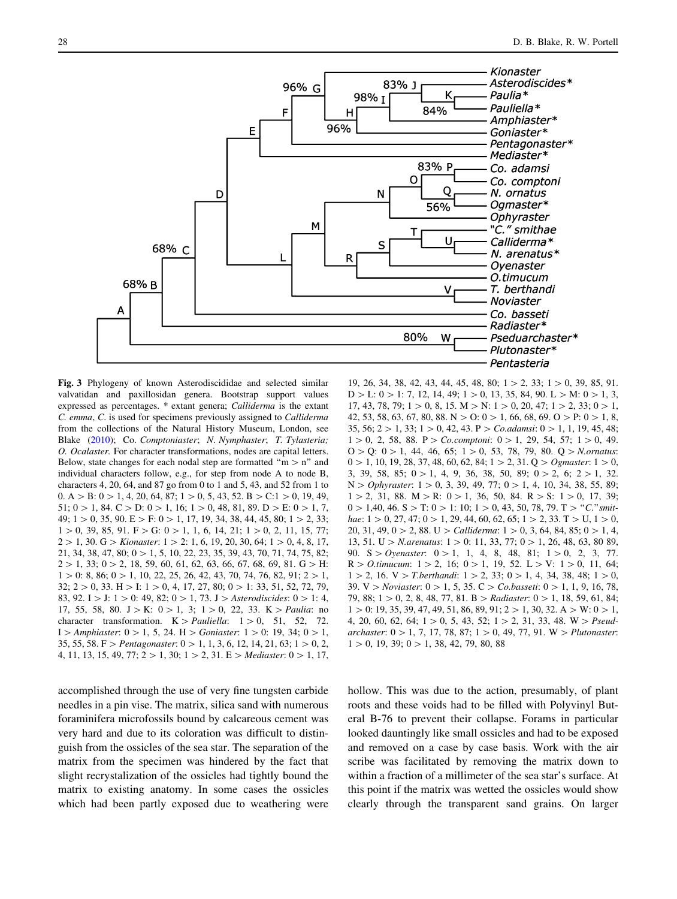<span id="page-3-0"></span>

Fig. 3 Phylogeny of known Asterodiscididae and selected similar valvatidan and paxillosidan genera. Bootstrap support values expressed as percentages. \* extant genera; Calliderma is the extant C. emma, C. is used for specimens previously assigned to Calliderma from the collections of the Natural History Museum, London, see Blake ([2010\)](#page-17-0); Co. Comptoniaster; N. Nymphaster; T. Tylasteria; O. Ocalaster. For character transformations, nodes are capital letters. Below, state changes for each nodal step are formatted " $m > n$ " and individual characters follow, e.g., for step from node A to node B, characters 4, 20, 64, and 87 go from 0 to 1 and 5, 43, and 52 from 1 to  $0. A > B: 0 > 1, 4, 20, 64, 87; 1 > 0, 5, 43, 52. B > C: 1 > 0, 19, 49,$ 51;  $0 > 1$ , 84. C  $> D$ :  $0 > 1$ , 16;  $1 > 0$ , 48, 81, 89. D  $> E$ :  $0 > 1$ , 7, 49;  $1 > 0$ , 35, 90. E  $>$  F: 0  $> 1$ , 17, 19, 34, 38, 44, 45, 80; 1  $> 2$ , 33;  $1 > 0$ , 39, 85, 91. F  $>$  G: 0  $> 1$ , 1, 6, 14, 21; 1  $> 0$ , 2, 11, 15, 77;  $2 > 1$ , 30. G > Kionaster:  $1 > 2$ : 1, 6, 19, 20, 30, 64;  $1 > 0$ , 4, 8, 17, 21, 34, 38, 47, 80;  $0 > 1$ , 5, 10, 22, 23, 35, 39, 43, 70, 71, 74, 75, 82;  $2 > 1$ , 33; 0 > 2, 18, 59, 60, 61, 62, 63, 66, 67, 68, 69, 81. G > H:  $1 > 0$ : 8, 86;  $0 > 1$ , 10, 22, 25, 26, 42, 43, 70, 74, 76, 82, 91;  $2 > 1$ ,  $32$ ;  $2 > 0$ ,  $33. H > I$ :  $1 > 0$ ,  $4$ ,  $17$ ,  $27$ ,  $80$ ;  $0 > 1$ :  $33$ ,  $51$ ,  $52$ ,  $72$ ,  $79$ , 83, 92. I > J:  $1$  > 0: 49, 82;  $0$  > 1, 73. J > Asterodiscides:  $0$  > 1: 4, 17, 55, 58, 80. J > K:  $0 > 1$ , 3;  $1 > 0$ , 22, 33. K > Paulia: no character transformation.  $K > Pauliella$ :  $1 > 0$ , 51, 52, 72. I > Amphiaster:  $0 > 1, 5, 24$ . H > Goniaster:  $1 > 0$ : 19, 34;  $0 > 1$ , 35, 55, 58. F > Pentagonaster:  $0$  > 1, 1, 3, 6, 12, 14, 21, 63; 1 > 0, 2, 4, 11, 13, 15, 49, 77;  $2 > 1$ , 30;  $1 > 2$ , 31. E > Mediaster:  $0 > 1$ , 17,

accomplished through the use of very fine tungsten carbide needles in a pin vise. The matrix, silica sand with numerous foraminifera microfossils bound by calcareous cement was very hard and due to its coloration was difficult to distinguish from the ossicles of the sea star. The separation of the matrix from the specimen was hindered by the fact that slight recrystalization of the ossicles had tightly bound the matrix to existing anatomy. In some cases the ossicles which had been partly exposed due to weathering were

19, 26, 34, 38, 42, 43, 44, 45, 48, 80;  $1 > 2$ , 33;  $1 > 0$ , 39, 85, 91.  $D$  > L: 0 > 1: 7, 12, 14, 49; 1 > 0, 13, 35, 84, 90. L > M: 0 > 1, 3, 17, 43, 78, 79;  $1 > 0$ , 8, 15. M  $> N$ :  $1 > 0$ , 20, 47;  $1 > 2$ , 33;  $0 > 1$ , 42, 53, 58, 63, 67, 80, 88. N  $>$  O: 0  $>$  1, 66, 68, 69, O  $>$  P: 0  $>$  1, 8, 35, 56;  $2 > 1$ , 33;  $1 > 0$ , 42, 43. P  $> Co. adamsi: 0 > 1$ , 1, 19, 45, 48;  $1 > 0$ , 2, 58, 88. P > *Co.comptoni*:  $0 > 1$ , 29, 54, 57;  $1 > 0$ , 49.  $Q > Q$ :  $0 > 1$ , 44, 46, 65;  $1 > 0$ , 53, 78, 79, 80.  $Q > N$ . $0 > 1$ , 10, 19, 28, 37, 48, 60, 62, 84;  $1 > 2$ , 31. Q > Ogmaster:  $1 > 0$ , 3, 39, 58, 85;  $0 > 1$ , 4, 9, 36, 38, 50, 89;  $0 > 2$ , 6;  $2 > 1$ , 32.  $N > Ophvraster$ :  $1 > 0$ , 3, 39, 49, 77;  $0 > 1$ , 4, 10, 34, 38, 55, 89;  $1 > 2$ , 31, 88. M > R: 0 > 1, 36, 50, 84. R > S: 1 > 0, 17, 39;  $0 > 1,40, 46. S > T: 0 > 1: 10; 1 > 0, 43, 50, 78, 79. T > "C." smit$ hae:  $1 > 0$ , 27, 47;  $0 > 1$ , 29, 44, 60, 62, 65;  $1 > 2$ , 33. T $> U$ ,  $1 > 0$ , 20, 31, 49,  $0 > 2$ , 88. U  $>$  Calliderma:  $1 > 0$ , 3, 64, 84, 85;  $0 > 1$ , 4, 13, 51. U > N.arenatus:  $1$  > 0: 11, 33, 77; 0 > 1, 26, 48, 63, 80 89, 90. S > Oyenaster:  $0 > 1$ , 1, 4, 8, 48, 81;  $1 > 0$ , 2, 3, 77.  $R > 0$ .timucum:  $1 > 2$ , 16;  $0 > 1$ , 19, 52. L > V:  $1 > 0$ , 11, 64;  $1 > 2$ , 16. V > T.berthandi:  $1 > 2$ , 33; 0 > 1, 4, 34, 38, 48; 1 > 0, 39. V > Noviaster:  $0 > 1, 5, 35$ . C > Co.basseti:  $0 > 1, 1, 9, 16, 78$ , 79, 88;  $1 > 0$ , 2, 8, 48, 77, 81. B > Radiaster:  $0 > 1$ , 18, 59, 61, 84;  $1 > 0$ : 19, 35, 39, 47, 49, 51, 86, 89, 91;  $2 > 1$ , 30, 32. A  $> W: 0 > 1$ , 4, 20, 60, 62, 64;  $1 > 0$ , 5, 43, 52;  $1 > 2$ , 31, 33, 48. W  $> Pseudo$ archaster:  $0 > 1, 7, 17, 78, 87; 1 > 0, 49, 77, 91. W > Plutonaster$ :  $1 > 0$ , 19, 39;  $0 > 1$ , 38, 42, 79, 80, 88

hollow. This was due to the action, presumably, of plant roots and these voids had to be filled with Polyvinyl Buteral B-76 to prevent their collapse. Forams in particular looked dauntingly like small ossicles and had to be exposed and removed on a case by case basis. Work with the air scribe was facilitated by removing the matrix down to within a fraction of a millimeter of the sea star's surface. At this point if the matrix was wetted the ossicles would show clearly through the transparent sand grains. On larger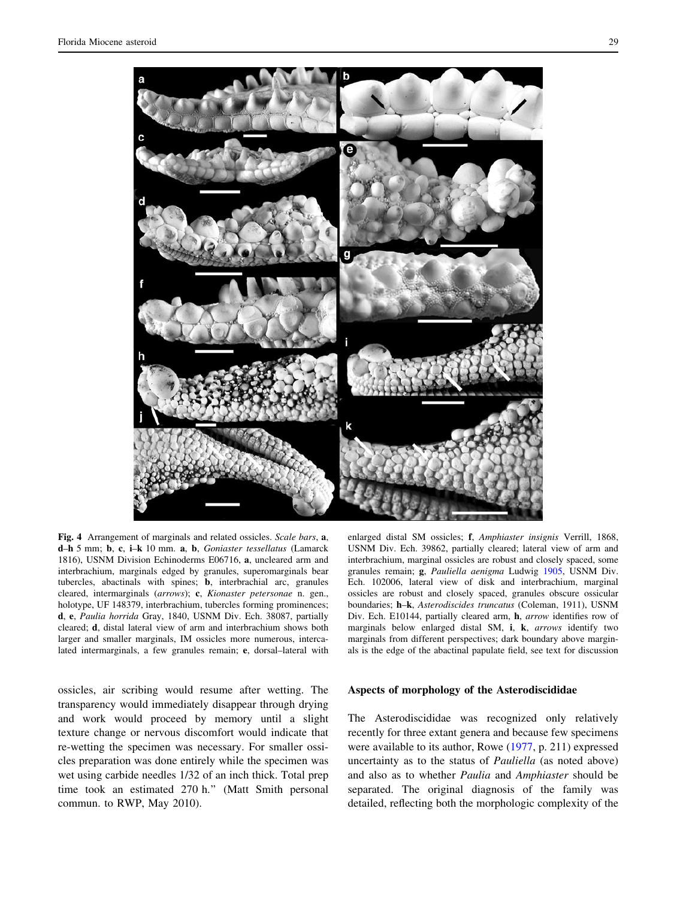<span id="page-4-0"></span>

Fig. 4 Arrangement of marginals and related ossicles. Scale bars, a, d–h 5 mm; b, c, i–k 10 mm. a, b, Goniaster tessellatus (Lamarck 1816), USNM Division Echinoderms E06716, a, uncleared arm and interbrachium, marginals edged by granules, superomarginals bear tubercles, abactinals with spines; b, interbrachial arc, granules cleared, intermarginals (arrows); c, Kionaster petersonae n. gen., holotype, UF 148379, interbrachium, tubercles forming prominences; d, e, Paulia horrida Gray, 1840, USNM Div. Ech. 38087, partially cleared; d, distal lateral view of arm and interbrachium shows both larger and smaller marginals, IM ossicles more numerous, intercalated intermarginals, a few granules remain; e, dorsal–lateral with

ossicles, air scribing would resume after wetting. The transparency would immediately disappear through drying and work would proceed by memory until a slight texture change or nervous discomfort would indicate that re-wetting the specimen was necessary. For smaller ossicles preparation was done entirely while the specimen was wet using carbide needles 1/32 of an inch thick. Total prep time took an estimated 270 h.'' (Matt Smith personal commun. to RWP, May 2010).

enlarged distal SM ossicles; f, Amphiaster insignis Verrill, 1868, USNM Div. Ech. 39862, partially cleared; lateral view of arm and interbrachium, marginal ossicles are robust and closely spaced, some granules remain; g, Pauliella aenigma Ludwig [1905,](#page-17-0) USNM Div. Ech. 102006, lateral view of disk and interbrachium, marginal ossicles are robust and closely spaced, granules obscure ossicular boundaries; h–k, Asterodiscides truncatus (Coleman, 1911), USNM Div. Ech. E10144, partially cleared arm, h, arrow identifies row of marginals below enlarged distal SM, i, k, arrows identify two marginals from different perspectives; dark boundary above marginals is the edge of the abactinal papulate field, see text for discussion

## Aspects of morphology of the Asterodiscididae

The Asterodiscididae was recognized only relatively recently for three extant genera and because few specimens were available to its author, Rowe ([1977,](#page-17-0) p. 211) expressed uncertainty as to the status of Pauliella (as noted above) and also as to whether Paulia and Amphiaster should be separated. The original diagnosis of the family was detailed, reflecting both the morphologic complexity of the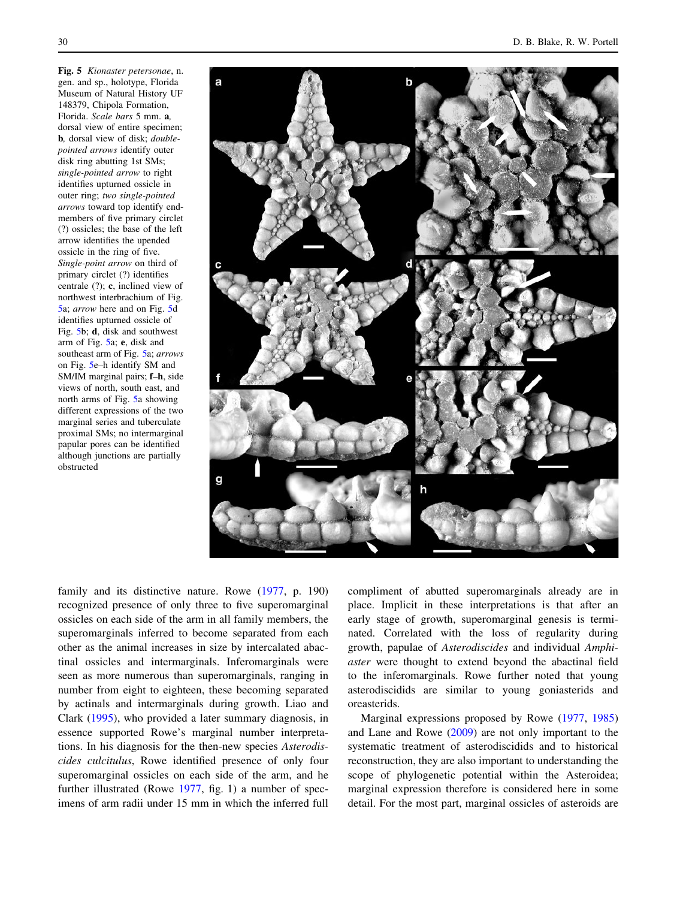<span id="page-5-0"></span>Fig. 5 Kionaster petersonae, n. gen. and sp., holotype, Florida Museum of Natural History UF 148379, Chipola Formation, Florida. Scale bars 5 mm. a, dorsal view of entire specimen; b, dorsal view of disk; doublepointed arrows identify outer disk ring abutting 1st SMs; single-pointed arrow to right identifies upturned ossicle in outer ring; two single-pointed arrows toward top identify endmembers of five primary circlet (?) ossicles; the base of the left arrow identifies the upended ossicle in the ring of five. Single-point arrow on third of primary circlet (?) identifies centrale (?); c, inclined view of northwest interbrachium of Fig. 5a; arrow here and on Fig. 5d identifies upturned ossicle of Fig. 5b; d, disk and southwest arm of Fig. 5a; e, disk and southeast arm of Fig. 5a; arrows on Fig. 5e–h identify SM and SM/IM marginal pairs; f–h, side views of north, south east, and north arms of Fig. 5a showing different expressions of the two marginal series and tuberculate proximal SMs; no intermarginal papular pores can be identified although junctions are partially obstructed



family and its distinctive nature. Rowe ([1977,](#page-17-0) p. 190) recognized presence of only three to five superomarginal ossicles on each side of the arm in all family members, the superomarginals inferred to become separated from each other as the animal increases in size by intercalated abactinal ossicles and intermarginals. Inferomarginals were seen as more numerous than superomarginals, ranging in number from eight to eighteen, these becoming separated by actinals and intermarginals during growth. Liao and Clark ([1995\)](#page-17-0), who provided a later summary diagnosis, in essence supported Rowe's marginal number interpretations. In his diagnosis for the then-new species Asterodiscides culcitulus, Rowe identified presence of only four superomarginal ossicles on each side of the arm, and he further illustrated (Rowe [1977](#page-17-0), fig. 1) a number of specimens of arm radii under 15 mm in which the inferred full

compliment of abutted superomarginals already are in place. Implicit in these interpretations is that after an early stage of growth, superomarginal genesis is terminated. Correlated with the loss of regularity during growth, papulae of Asterodiscides and individual Amphiaster were thought to extend beyond the abactinal field to the inferomarginals. Rowe further noted that young asterodiscidids are similar to young goniasterids and oreasterids.

Marginal expressions proposed by Rowe [\(1977](#page-17-0), [1985\)](#page-17-0) and Lane and Rowe ([2009\)](#page-17-0) are not only important to the systematic treatment of asterodiscidids and to historical reconstruction, they are also important to understanding the scope of phylogenetic potential within the Asteroidea; marginal expression therefore is considered here in some detail. For the most part, marginal ossicles of asteroids are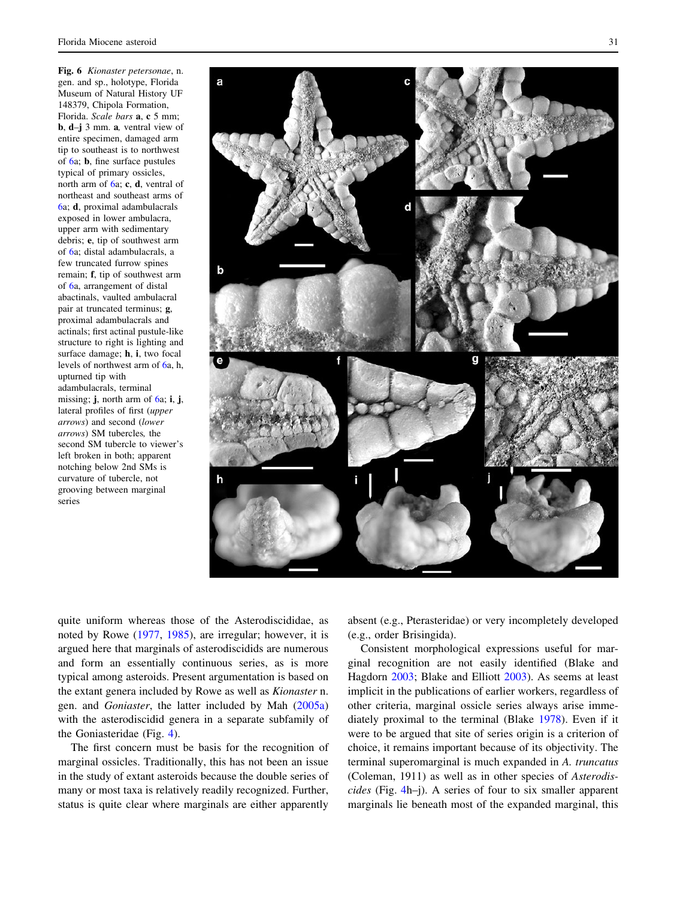a

b

Fig. 6 Kionaster petersonae, n. gen. and sp., holotype, Florida Museum of Natural History UF 148379, Chipola Formation, Florida. Scale bars a, c 5 mm; b, d–j 3 mm. a, ventral view of entire specimen, damaged arm tip to southeast is to northwest of 6a; b, fine surface pustules typical of primary ossicles, north arm of 6a; c, d, ventral of northeast and southeast arms of 6a; d, proximal adambulacrals exposed in lower ambulacra, upper arm with sedimentary debris; e, tip of southwest arm of 6a; distal adambulacrals, a few truncated furrow spines remain; f, tip of southwest arm of 6a, arrangement of distal abactinals, vaulted ambulacral pair at truncated terminus; g, proximal adambulacrals and actinals; first actinal pustule-like structure to right is lighting and surface damage; h, i, two focal levels of northwest arm of 6a, h, upturned tip with adambulacrals, terminal missing; **j**, north arm of  $6a$ ; **i**, **j**, lateral profiles of first (upper arrows) and second (lower arrows) SM tubercles, the second SM tubercle to viewer's left broken in both; apparent notching below 2nd SMs is curvature of tubercle, not grooving between marginal series

<span id="page-6-0"></span>



quite uniform whereas those of the Asterodiscididae, as noted by Rowe ([1977,](#page-17-0) [1985\)](#page-17-0), are irregular; however, it is argued here that marginals of asterodiscidids are numerous and form an essentially continuous series, as is more typical among asteroids. Present argumentation is based on the extant genera included by Rowe as well as Kionaster n. gen. and Goniaster, the latter included by Mah [\(2005a\)](#page-17-0) with the asterodiscidid genera in a separate subfamily of the Goniasteridae (Fig. [4\)](#page-4-0).

The first concern must be basis for the recognition of marginal ossicles. Traditionally, this has not been an issue in the study of extant asteroids because the double series of many or most taxa is relatively readily recognized. Further, status is quite clear where marginals are either apparently absent (e.g., Pterasteridae) or very incompletely developed (e.g., order Brisingida).

Consistent morphological expressions useful for marginal recognition are not easily identified (Blake and Hagdorn [2003](#page-17-0); Blake and Elliott [2003\)](#page-17-0). As seems at least implicit in the publications of earlier workers, regardless of other criteria, marginal ossicle series always arise immediately proximal to the terminal (Blake [1978](#page-17-0)). Even if it were to be argued that site of series origin is a criterion of choice, it remains important because of its objectivity. The terminal superomarginal is much expanded in A. truncatus (Coleman, 1911) as well as in other species of Asterodiscides (Fig. [4h](#page-4-0)–j). A series of four to six smaller apparent marginals lie beneath most of the expanded marginal, this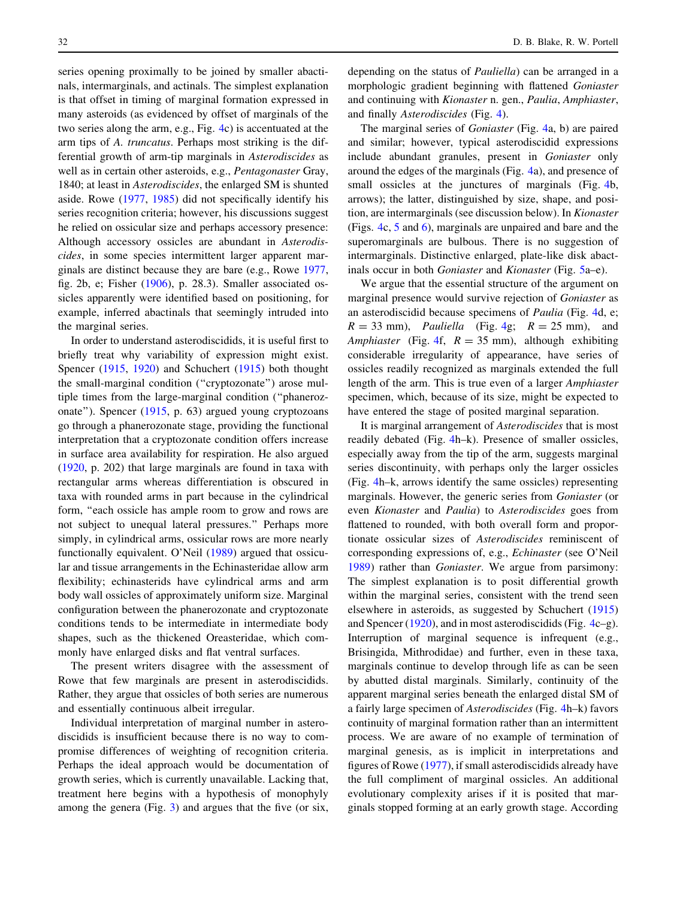series opening proximally to be joined by smaller abactinals, intermarginals, and actinals. The simplest explanation is that offset in timing of marginal formation expressed in many asteroids (as evidenced by offset of marginals of the two series along the arm, e.g., Fig. [4c](#page-4-0)) is accentuated at the arm tips of A. truncatus. Perhaps most striking is the differential growth of arm-tip marginals in Asterodiscides as well as in certain other asteroids, e.g., Pentagonaster Gray, 1840; at least in Asterodiscides, the enlarged SM is shunted aside. Rowe ([1977,](#page-17-0) [1985\)](#page-17-0) did not specifically identify his series recognition criteria; however, his discussions suggest he relied on ossicular size and perhaps accessory presence: Although accessory ossicles are abundant in Asterodiscides, in some species intermittent larger apparent marginals are distinct because they are bare (e.g., Rowe [1977,](#page-17-0) fig. 2b, e; Fisher ([1906\)](#page-17-0), p. 28.3). Smaller associated ossicles apparently were identified based on positioning, for example, inferred abactinals that seemingly intruded into the marginal series.

In order to understand asterodiscidids, it is useful first to briefly treat why variability of expression might exist. Spencer [\(1915](#page-17-0), [1920\)](#page-17-0) and Schuchert ([1915\)](#page-17-0) both thought the small-marginal condition ("cryptozonate") arose multiple times from the large-marginal condition (''phanerozonate''). Spencer ([1915,](#page-17-0) p. 63) argued young cryptozoans go through a phanerozonate stage, providing the functional interpretation that a cryptozonate condition offers increase in surface area availability for respiration. He also argued [\(1920](#page-17-0), p. 202) that large marginals are found in taxa with rectangular arms whereas differentiation is obscured in taxa with rounded arms in part because in the cylindrical form, "each ossicle has ample room to grow and rows are not subject to unequal lateral pressures.'' Perhaps more simply, in cylindrical arms, ossicular rows are more nearly functionally equivalent. O'Neil [\(1989](#page-17-0)) argued that ossicular and tissue arrangements in the Echinasteridae allow arm flexibility; echinasterids have cylindrical arms and arm body wall ossicles of approximately uniform size. Marginal configuration between the phanerozonate and cryptozonate conditions tends to be intermediate in intermediate body shapes, such as the thickened Oreasteridae, which commonly have enlarged disks and flat ventral surfaces.

The present writers disagree with the assessment of Rowe that few marginals are present in asterodiscidids. Rather, they argue that ossicles of both series are numerous and essentially continuous albeit irregular.

Individual interpretation of marginal number in asterodiscidids is insufficient because there is no way to compromise differences of weighting of recognition criteria. Perhaps the ideal approach would be documentation of growth series, which is currently unavailable. Lacking that, treatment here begins with a hypothesis of monophyly among the genera (Fig. [3](#page-3-0)) and argues that the five (or six, depending on the status of Pauliella) can be arranged in a morphologic gradient beginning with flattened Goniaster and continuing with Kionaster n. gen., Paulia, Amphiaster, and finally Asterodiscides (Fig. [4\)](#page-4-0).

The marginal series of Goniaster (Fig. [4](#page-4-0)a, b) are paired and similar; however, typical asterodiscidid expressions include abundant granules, present in Goniaster only around the edges of the marginals (Fig. [4a](#page-4-0)), and presence of small ossicles at the junctures of marginals (Fig. [4b](#page-4-0), arrows); the latter, distinguished by size, shape, and position, are intermarginals (see discussion below). In Kionaster (Figs. [4](#page-4-0)c, [5](#page-5-0) and [6](#page-6-0)), marginals are unpaired and bare and the superomarginals are bulbous. There is no suggestion of intermarginals. Distinctive enlarged, plate-like disk abactinals occur in both Goniaster and Kionaster (Fig. [5](#page-5-0)a–e).

We argue that the essential structure of the argument on marginal presence would survive rejection of Goniaster as an asterodiscidid because specimens of Paulia (Fig. [4](#page-4-0)d, e;  $R = 33$  mm), *Pauliella* (Fig. [4](#page-4-0)g;  $R = 25$  mm), and Amphiaster (Fig. [4f](#page-4-0),  $R = 35$  mm), although exhibiting considerable irregularity of appearance, have series of ossicles readily recognized as marginals extended the full length of the arm. This is true even of a larger Amphiaster specimen, which, because of its size, might be expected to have entered the stage of posited marginal separation.

It is marginal arrangement of Asterodiscides that is most readily debated (Fig. [4h](#page-4-0)–k). Presence of smaller ossicles, especially away from the tip of the arm, suggests marginal series discontinuity, with perhaps only the larger ossicles (Fig. [4h](#page-4-0)–k, arrows identify the same ossicles) representing marginals. However, the generic series from Goniaster (or even Kionaster and Paulia) to Asterodiscides goes from flattened to rounded, with both overall form and proportionate ossicular sizes of Asterodiscides reminiscent of corresponding expressions of, e.g., Echinaster (see O'Neil [1989](#page-17-0)) rather than Goniaster. We argue from parsimony: The simplest explanation is to posit differential growth within the marginal series, consistent with the trend seen elsewhere in asteroids, as suggested by Schuchert ([1915\)](#page-17-0) and Spencer ([1920\)](#page-17-0), and in most asterodiscidids (Fig. [4c](#page-4-0)–g). Interruption of marginal sequence is infrequent (e.g., Brisingida, Mithrodidae) and further, even in these taxa, marginals continue to develop through life as can be seen by abutted distal marginals. Similarly, continuity of the apparent marginal series beneath the enlarged distal SM of a fairly large specimen of Asterodiscides (Fig. [4h](#page-5-0)–k) favors continuity of marginal formation rather than an intermittent process. We are aware of no example of termination of marginal genesis, as is implicit in interpretations and figures of Rowe ([1977\)](#page-17-0), if small asterodiscidids already have the full compliment of marginal ossicles. An additional evolutionary complexity arises if it is posited that marginals stopped forming at an early growth stage. According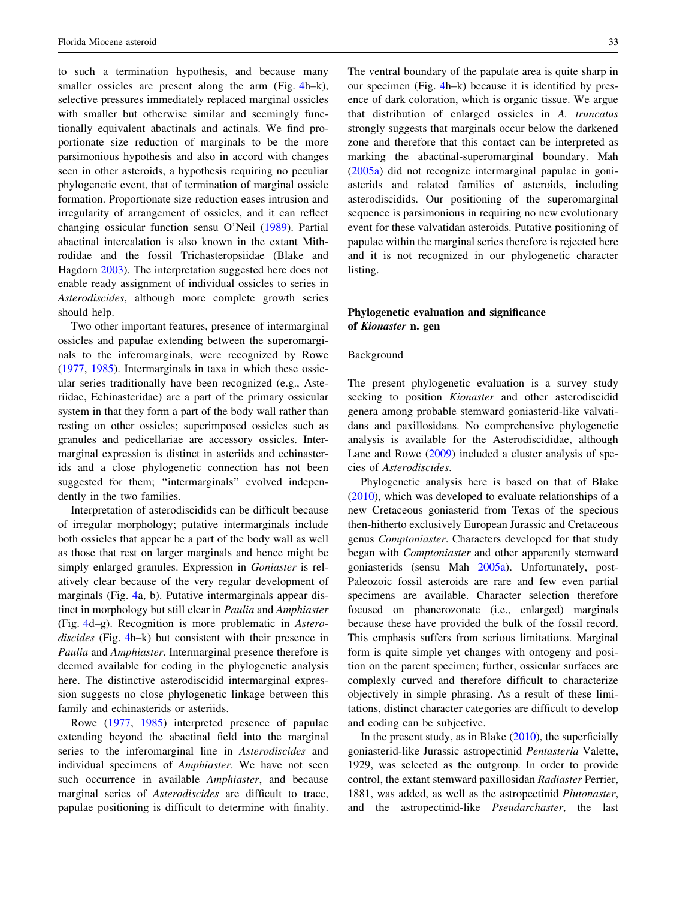to such a termination hypothesis, and because many smaller ossicles are present along the arm (Fig. [4](#page-4-0)h–k), selective pressures immediately replaced marginal ossicles with smaller but otherwise similar and seemingly functionally equivalent abactinals and actinals. We find proportionate size reduction of marginals to be the more parsimonious hypothesis and also in accord with changes seen in other asteroids, a hypothesis requiring no peculiar phylogenetic event, that of termination of marginal ossicle formation. Proportionate size reduction eases intrusion and irregularity of arrangement of ossicles, and it can reflect changing ossicular function sensu O'Neil ([1989\)](#page-17-0). Partial abactinal intercalation is also known in the extant Mithrodidae and the fossil Trichasteropsiidae (Blake and Hagdorn [2003\)](#page-17-0). The interpretation suggested here does not enable ready assignment of individual ossicles to series in Asterodiscides, although more complete growth series should help.

Two other important features, presence of intermarginal ossicles and papulae extending between the superomarginals to the inferomarginals, were recognized by Rowe [\(1977](#page-17-0), [1985](#page-17-0)). Intermarginals in taxa in which these ossicular series traditionally have been recognized (e.g., Asteriidae, Echinasteridae) are a part of the primary ossicular system in that they form a part of the body wall rather than resting on other ossicles; superimposed ossicles such as granules and pedicellariae are accessory ossicles. Intermarginal expression is distinct in asteriids and echinasterids and a close phylogenetic connection has not been suggested for them; "intermarginals" evolved independently in the two families.

Interpretation of asterodiscidids can be difficult because of irregular morphology; putative intermarginals include both ossicles that appear be a part of the body wall as well as those that rest on larger marginals and hence might be simply enlarged granules. Expression in Goniaster is relatively clear because of the very regular development of marginals (Fig. [4](#page-4-0)a, b). Putative intermarginals appear distinct in morphology but still clear in Paulia and Amphiaster (Fig. [4](#page-4-0)d–g). Recognition is more problematic in Asterodiscides (Fig. [4h](#page-4-0)–k) but consistent with their presence in Paulia and Amphiaster. Intermarginal presence therefore is deemed available for coding in the phylogenetic analysis here. The distinctive asterodiscidid intermarginal expression suggests no close phylogenetic linkage between this family and echinasterids or asteriids.

Rowe [\(1977](#page-17-0), [1985\)](#page-17-0) interpreted presence of papulae extending beyond the abactinal field into the marginal series to the inferomarginal line in Asterodiscides and individual specimens of Amphiaster. We have not seen such occurrence in available Amphiaster, and because marginal series of Asterodiscides are difficult to trace, papulae positioning is difficult to determine with finality.

The ventral boundary of the papulate area is quite sharp in our specimen (Fig. [4](#page-4-0)h–k) because it is identified by presence of dark coloration, which is organic tissue. We argue that distribution of enlarged ossicles in A. truncatus strongly suggests that marginals occur below the darkened zone and therefore that this contact can be interpreted as marking the abactinal-superomarginal boundary. Mah [\(2005a\)](#page-17-0) did not recognize intermarginal papulae in goniasterids and related families of asteroids, including asterodiscidids. Our positioning of the superomarginal sequence is parsimonious in requiring no new evolutionary event for these valvatidan asteroids. Putative positioning of papulae within the marginal series therefore is rejected here and it is not recognized in our phylogenetic character listing.

# Phylogenetic evaluation and significance of Kionaster n. gen

#### Background

The present phylogenetic evaluation is a survey study seeking to position *Kionaster* and other asterodiscidid genera among probable stemward goniasterid-like valvatidans and paxillosidans. No comprehensive phylogenetic analysis is available for the Asterodiscididae, although Lane and Rowe ([2009\)](#page-17-0) included a cluster analysis of species of Asterodiscides.

Phylogenetic analysis here is based on that of Blake [\(2010](#page-17-0)), which was developed to evaluate relationships of a new Cretaceous goniasterid from Texas of the specious then-hitherto exclusively European Jurassic and Cretaceous genus Comptoniaster. Characters developed for that study began with Comptoniaster and other apparently stemward goniasterids (sensu Mah [2005a\)](#page-17-0). Unfortunately, post-Paleozoic fossil asteroids are rare and few even partial specimens are available. Character selection therefore focused on phanerozonate (i.e., enlarged) marginals because these have provided the bulk of the fossil record. This emphasis suffers from serious limitations. Marginal form is quite simple yet changes with ontogeny and position on the parent specimen; further, ossicular surfaces are complexly curved and therefore difficult to characterize objectively in simple phrasing. As a result of these limitations, distinct character categories are difficult to develop and coding can be subjective.

In the present study, as in Blake  $(2010)$  $(2010)$ , the superficially goniasterid-like Jurassic astropectinid Pentasteria Valette, 1929, was selected as the outgroup. In order to provide control, the extant stemward paxillosidan Radiaster Perrier, 1881, was added, as well as the astropectinid Plutonaster, and the astropectinid-like Pseudarchaster, the last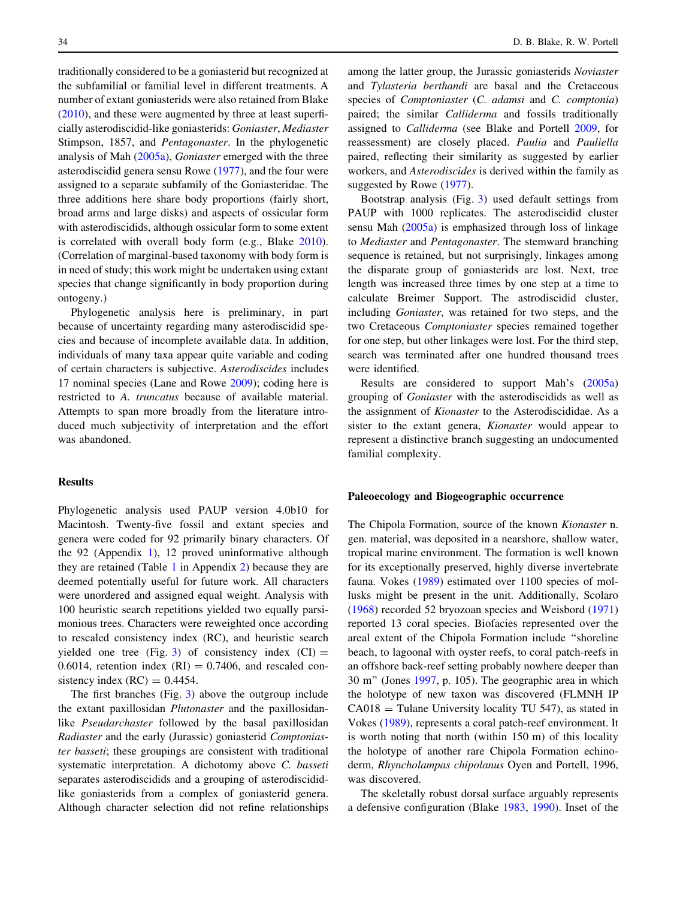traditionally considered to be a goniasterid but recognized at the subfamilial or familial level in different treatments. A number of extant goniasterids were also retained from Blake [\(2010](#page-17-0)), and these were augmented by three at least superficially asterodiscidid-like goniasterids: Goniaster, Mediaster Stimpson, 1857, and Pentagonaster. In the phylogenetic analysis of Mah [\(2005a\)](#page-17-0), Goniaster emerged with the three asterodiscidid genera sensu Rowe [\(1977](#page-17-0)), and the four were assigned to a separate subfamily of the Goniasteridae. The three additions here share body proportions (fairly short, broad arms and large disks) and aspects of ossicular form with asterodiscidids, although ossicular form to some extent is correlated with overall body form (e.g., Blake [2010](#page-17-0)). (Correlation of marginal-based taxonomy with body form is in need of study; this work might be undertaken using extant species that change significantly in body proportion during ontogeny.)

Phylogenetic analysis here is preliminary, in part because of uncertainty regarding many asterodiscidid species and because of incomplete available data. In addition, individuals of many taxa appear quite variable and coding of certain characters is subjective. Asterodiscides includes 17 nominal species (Lane and Rowe [2009\)](#page-17-0); coding here is restricted to A. truncatus because of available material. Attempts to span more broadly from the literature introduced much subjectivity of interpretation and the effort was abandoned.

#### **Results**

Phylogenetic analysis used PAUP version 4.0b10 for Macintosh. Twenty-five fossil and extant species and genera were coded for 92 primarily binary characters. Of the 92 (Appendix [1](#page-12-0)), 12 proved uninformative although they are retained (Table [1](#page-16-0) in Appendix [2](#page-15-0)) because they are deemed potentially useful for future work. All characters were unordered and assigned equal weight. Analysis with 100 heuristic search repetitions yielded two equally parsimonious trees. Characters were reweighted once according to rescaled consistency index (RC), and heuristic search yielded one tree (Fig. [3](#page-3-0)) of consistency index  $(CI)$  = 0.6014, retention index  $(RI) = 0.7406$ , and rescaled consistency index  $(RC) = 0.4454$ .

The first branches (Fig. [3](#page-3-0)) above the outgroup include the extant paxillosidan Plutonaster and the paxillosidanlike Pseudarchaster followed by the basal paxillosidan Radiaster and the early (Jurassic) goniasterid Comptoniaster basseti; these groupings are consistent with traditional systematic interpretation. A dichotomy above C. basseti separates asterodiscidids and a grouping of asterodiscididlike goniasterids from a complex of goniasterid genera. Although character selection did not refine relationships

among the latter group, the Jurassic goniasterids Noviaster and Tylasteria berthandi are basal and the Cretaceous species of *Comptoniaster* (*C. adamsi* and *C. comptonia*) paired; the similar Calliderma and fossils traditionally assigned to Calliderma (see Blake and Portell [2009,](#page-17-0) for reassessment) are closely placed. Paulia and Pauliella paired, reflecting their similarity as suggested by earlier workers, and Asterodiscides is derived within the family as suggested by Rowe [\(1977](#page-17-0)).

Bootstrap analysis (Fig. [3\)](#page-3-0) used default settings from PAUP with 1000 replicates. The asterodiscidid cluster sensu Mah ([2005a](#page-17-0)) is emphasized through loss of linkage to Mediaster and Pentagonaster. The stemward branching sequence is retained, but not surprisingly, linkages among the disparate group of goniasterids are lost. Next, tree length was increased three times by one step at a time to calculate Breimer Support. The astrodiscidid cluster, including Goniaster, was retained for two steps, and the two Cretaceous Comptoniaster species remained together for one step, but other linkages were lost. For the third step, search was terminated after one hundred thousand trees were identified.

Results are considered to support Mah's [\(2005a\)](#page-17-0) grouping of Goniaster with the asterodiscidids as well as the assignment of Kionaster to the Asterodiscididae. As a sister to the extant genera, Kionaster would appear to represent a distinctive branch suggesting an undocumented familial complexity.

#### Paleoecology and Biogeographic occurrence

The Chipola Formation, source of the known Kionaster n. gen. material, was deposited in a nearshore, shallow water, tropical marine environment. The formation is well known for its exceptionally preserved, highly diverse invertebrate fauna. Vokes ([1989\)](#page-17-0) estimated over 1100 species of mollusks might be present in the unit. Additionally, Scolaro [\(1968](#page-17-0)) recorded 52 bryozoan species and Weisbord ([1971\)](#page-17-0) reported 13 coral species. Biofacies represented over the areal extent of the Chipola Formation include ''shoreline beach, to lagoonal with oyster reefs, to coral patch-reefs in an offshore back-reef setting probably nowhere deeper than 30 m'' (Jones [1997,](#page-17-0) p. 105). The geographic area in which the holotype of new taxon was discovered (FLMNH IP  $CA018 =$  Tulane University locality TU 547), as stated in Vokes ([1989\)](#page-17-0), represents a coral patch-reef environment. It is worth noting that north (within 150 m) of this locality the holotype of another rare Chipola Formation echinoderm, Rhyncholampas chipolanus Oyen and Portell, 1996, was discovered.

The skeletally robust dorsal surface arguably represents a defensive configuration (Blake [1983,](#page-17-0) [1990](#page-17-0)). Inset of the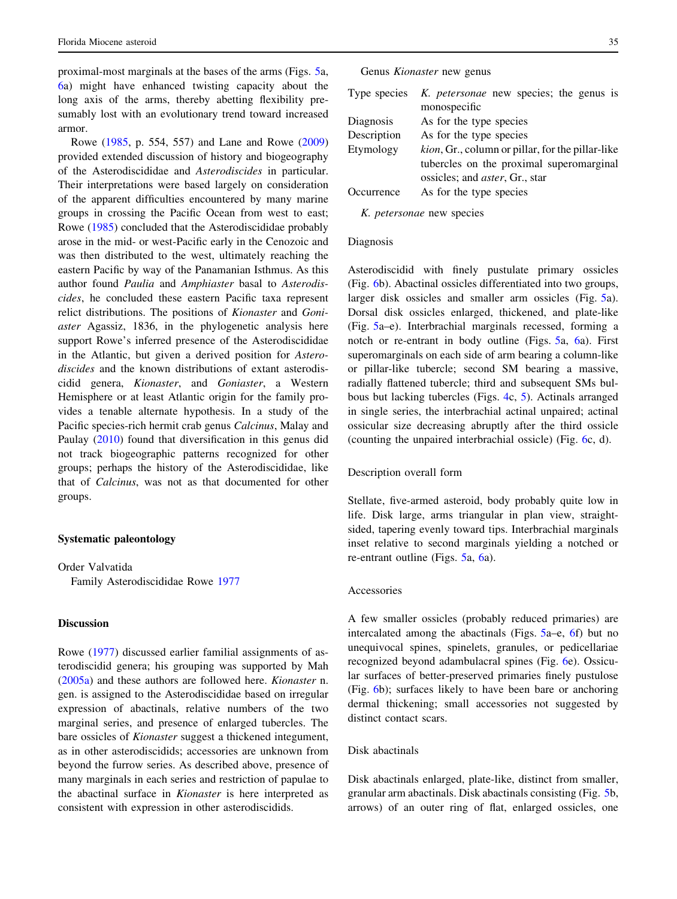proximal-most marginals at the bases of the arms (Figs. [5](#page-5-0)a, [6](#page-6-0)a) might have enhanced twisting capacity about the long axis of the arms, thereby abetting flexibility presumably lost with an evolutionary trend toward increased armor.

Rowe ([1985,](#page-17-0) p. 554, 557) and Lane and Rowe ([2009\)](#page-17-0) provided extended discussion of history and biogeography of the Asterodiscididae and Asterodiscides in particular. Their interpretations were based largely on consideration of the apparent difficulties encountered by many marine groups in crossing the Pacific Ocean from west to east; Rowe [\(1985](#page-17-0)) concluded that the Asterodiscididae probably arose in the mid- or west-Pacific early in the Cenozoic and was then distributed to the west, ultimately reaching the eastern Pacific by way of the Panamanian Isthmus. As this author found Paulia and Amphiaster basal to Asterodiscides, he concluded these eastern Pacific taxa represent relict distributions. The positions of Kionaster and Goniaster Agassiz, 1836, in the phylogenetic analysis here support Rowe's inferred presence of the Asterodiscididae in the Atlantic, but given a derived position for Asterodiscides and the known distributions of extant asterodiscidid genera, Kionaster, and Goniaster, a Western Hemisphere or at least Atlantic origin for the family provides a tenable alternate hypothesis. In a study of the Pacific species-rich hermit crab genus Calcinus, Malay and Paulay [\(2010](#page-17-0)) found that diversification in this genus did not track biogeographic patterns recognized for other groups; perhaps the history of the Asterodiscididae, like that of Calcinus, was not as that documented for other groups.

#### Systematic paleontology

Order Valvatida Family Asterodiscididae Rowe [1977](#page-17-0)

## **Discussion**

Rowe [\(1977](#page-17-0)) discussed earlier familial assignments of asterodiscidid genera; his grouping was supported by Mah [\(2005a\)](#page-17-0) and these authors are followed here. Kionaster n. gen. is assigned to the Asterodiscididae based on irregular expression of abactinals, relative numbers of the two marginal series, and presence of enlarged tubercles. The bare ossicles of Kionaster suggest a thickened integument, as in other asterodiscidids; accessories are unknown from beyond the furrow series. As described above, presence of many marginals in each series and restriction of papulae to the abactinal surface in Kionaster is here interpreted as consistent with expression in other asterodiscidids.

Genus Kionaster new genus

| Type species | K. <i>petersonae</i> new species; the genus is   |
|--------------|--------------------------------------------------|
|              | monospecific                                     |
| Diagnosis    | As for the type species                          |
| Description  | As for the type species                          |
| Etymology    | kion, Gr., column or pillar, for the pillar-like |
|              | tubercles on the proximal superomarginal         |
|              | ossicles; and <i>aster</i> , Gr., star           |
| Occurrence   | As for the type species                          |
|              |                                                  |

K. petersonae new species

#### Diagnosis

Asterodiscidid with finely pustulate primary ossicles (Fig. [6b](#page-6-0)). Abactinal ossicles differentiated into two groups, larger disk ossicles and smaller arm ossicles (Fig. [5a](#page-5-0)). Dorsal disk ossicles enlarged, thickened, and plate-like (Fig. [5a](#page-5-0)–e). Interbrachial marginals recessed, forming a notch or re-entrant in body outline (Figs. [5](#page-5-0)a, [6a](#page-6-0)). First superomarginals on each side of arm bearing a column-like or pillar-like tubercle; second SM bearing a massive, radially flattened tubercle; third and subsequent SMs bulbous but lacking tubercles (Figs. [4](#page-4-0)c, [5](#page-5-0)). Actinals arranged in single series, the interbrachial actinal unpaired; actinal ossicular size decreasing abruptly after the third ossicle (counting the unpaired interbrachial ossicle) (Fig. [6](#page-6-0)c, d).

#### Description overall form

Stellate, five-armed asteroid, body probably quite low in life. Disk large, arms triangular in plan view, straightsided, tapering evenly toward tips. Interbrachial marginals inset relative to second marginals yielding a notched or re-entrant outline (Figs. [5a](#page-5-0), [6](#page-6-0)a).

#### Accessories

A few smaller ossicles (probably reduced primaries) are intercalated among the abactinals (Figs. [5a](#page-5-0)–e, [6](#page-6-0)f) but no unequivocal spines, spinelets, granules, or pedicellariae recognized beyond adambulacral spines (Fig. [6e](#page-6-0)). Ossicular surfaces of better-preserved primaries finely pustulose (Fig. [6b](#page-6-0)); surfaces likely to have been bare or anchoring dermal thickening; small accessories not suggested by distinct contact scars.

# Disk abactinals

Disk abactinals enlarged, plate-like, distinct from smaller, granular arm abactinals. Disk abactinals consisting (Fig. [5b](#page-5-0), arrows) of an outer ring of flat, enlarged ossicles, one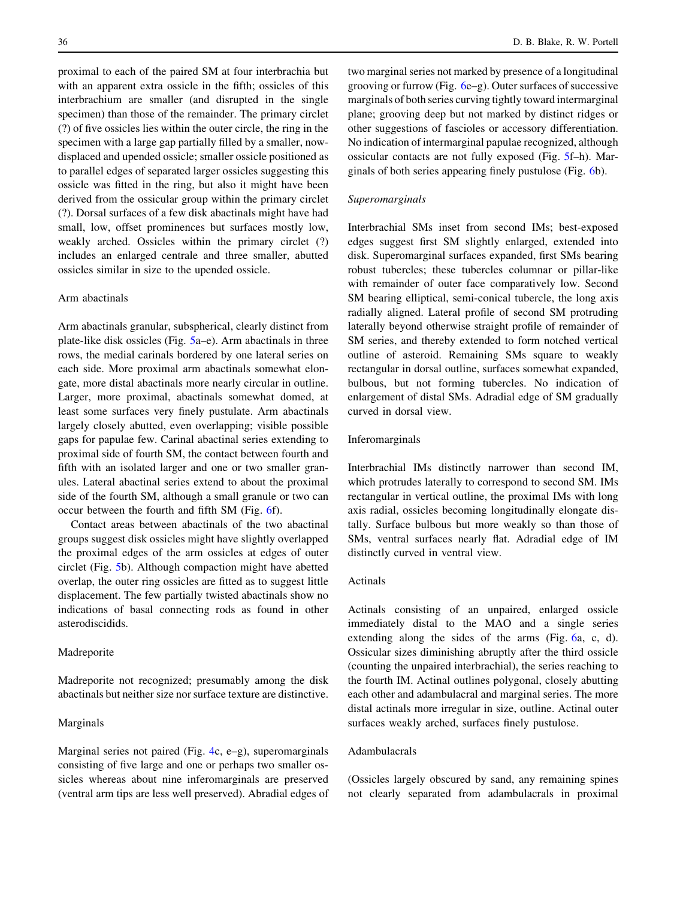proximal to each of the paired SM at four interbrachia but with an apparent extra ossicle in the fifth; ossicles of this interbrachium are smaller (and disrupted in the single specimen) than those of the remainder. The primary circlet (?) of five ossicles lies within the outer circle, the ring in the specimen with a large gap partially filled by a smaller, nowdisplaced and upended ossicle; smaller ossicle positioned as to parallel edges of separated larger ossicles suggesting this ossicle was fitted in the ring, but also it might have been derived from the ossicular group within the primary circlet (?). Dorsal surfaces of a few disk abactinals might have had small, low, offset prominences but surfaces mostly low, weakly arched. Ossicles within the primary circlet (?) includes an enlarged centrale and three smaller, abutted ossicles similar in size to the upended ossicle.

# Arm abactinals

Arm abactinals granular, subspherical, clearly distinct from plate-like disk ossicles (Fig. [5](#page-5-0)a–e). Arm abactinals in three rows, the medial carinals bordered by one lateral series on each side. More proximal arm abactinals somewhat elongate, more distal abactinals more nearly circular in outline. Larger, more proximal, abactinals somewhat domed, at least some surfaces very finely pustulate. Arm abactinals largely closely abutted, even overlapping; visible possible gaps for papulae few. Carinal abactinal series extending to proximal side of fourth SM, the contact between fourth and fifth with an isolated larger and one or two smaller granules. Lateral abactinal series extend to about the proximal side of the fourth SM, although a small granule or two can occur between the fourth and fifth SM (Fig. [6](#page-6-0)f).

Contact areas between abactinals of the two abactinal groups suggest disk ossicles might have slightly overlapped the proximal edges of the arm ossicles at edges of outer circlet (Fig. [5b](#page-5-0)). Although compaction might have abetted overlap, the outer ring ossicles are fitted as to suggest little displacement. The few partially twisted abactinals show no indications of basal connecting rods as found in other asterodiscidids.

#### Madreporite

Madreporite not recognized; presumably among the disk abactinals but neither size nor surface texture are distinctive.

#### Marginals

Marginal series not paired (Fig. [4](#page-4-0)c, e–g), superomarginals consisting of five large and one or perhaps two smaller ossicles whereas about nine inferomarginals are preserved (ventral arm tips are less well preserved). Abradial edges of

two marginal series not marked by presence of a longitudinal grooving or furrow (Fig. [6e](#page-6-0)–g). Outer surfaces of successive marginals of both series curving tightly toward intermarginal plane; grooving deep but not marked by distinct ridges or other suggestions of fascioles or accessory differentiation. No indication of intermarginal papulae recognized, although ossicular contacts are not fully exposed (Fig. [5](#page-5-0)f–h). Marginals of both series appearing finely pustulose (Fig. [6b](#page-6-0)).

#### Superomarginals

Interbrachial SMs inset from second IMs; best-exposed edges suggest first SM slightly enlarged, extended into disk. Superomarginal surfaces expanded, first SMs bearing robust tubercles; these tubercles columnar or pillar-like with remainder of outer face comparatively low. Second SM bearing elliptical, semi-conical tubercle, the long axis radially aligned. Lateral profile of second SM protruding laterally beyond otherwise straight profile of remainder of SM series, and thereby extended to form notched vertical outline of asteroid. Remaining SMs square to weakly rectangular in dorsal outline, surfaces somewhat expanded, bulbous, but not forming tubercles. No indication of enlargement of distal SMs. Adradial edge of SM gradually curved in dorsal view.

#### Inferomarginals

Interbrachial IMs distinctly narrower than second IM, which protrudes laterally to correspond to second SM. IMs rectangular in vertical outline, the proximal IMs with long axis radial, ossicles becoming longitudinally elongate distally. Surface bulbous but more weakly so than those of SMs, ventral surfaces nearly flat. Adradial edge of IM distinctly curved in ventral view.

#### Actinals

Actinals consisting of an unpaired, enlarged ossicle immediately distal to the MAO and a single series extending along the sides of the arms (Fig. [6a](#page-6-0), c, d). Ossicular sizes diminishing abruptly after the third ossicle (counting the unpaired interbrachial), the series reaching to the fourth IM. Actinal outlines polygonal, closely abutting each other and adambulacral and marginal series. The more distal actinals more irregular in size, outline. Actinal outer surfaces weakly arched, surfaces finely pustulose.

#### Adambulacrals

(Ossicles largely obscured by sand, any remaining spines not clearly separated from adambulacrals in proximal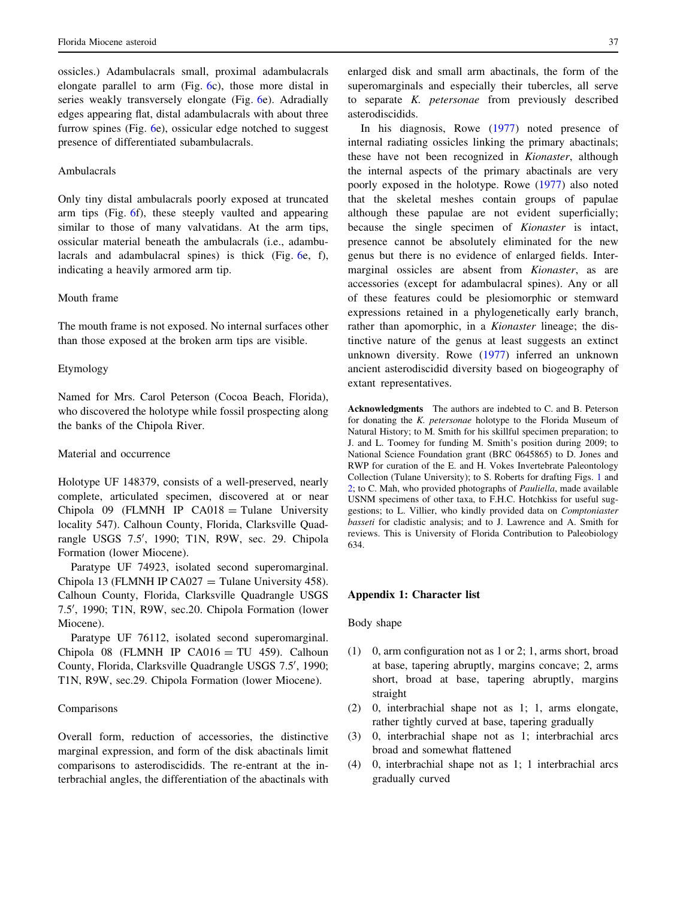<span id="page-12-0"></span>ossicles.) Adambulacrals small, proximal adambulacrals elongate parallel to arm (Fig. [6c](#page-6-0)), those more distal in series weakly transversely elongate (Fig. [6](#page-6-0)e). Adradially edges appearing flat, distal adambulacrals with about three furrow spines (Fig.  $6e$  $6e$ ), ossicular edge notched to suggest presence of differentiated subambulacrals.

#### Ambulacrals

Only tiny distal ambulacrals poorly exposed at truncated arm tips (Fig. [6f](#page-6-0)), these steeply vaulted and appearing similar to those of many valvatidans. At the arm tips, ossicular material beneath the ambulacrals (i.e., adambulacrals and adambulacral spines) is thick (Fig. [6e](#page-6-0), f), indicating a heavily armored arm tip.

# Mouth frame

The mouth frame is not exposed. No internal surfaces other than those exposed at the broken arm tips are visible.

#### Etymology

Named for Mrs. Carol Peterson (Cocoa Beach, Florida), who discovered the holotype while fossil prospecting along the banks of the Chipola River.

#### Material and occurrence

Holotype UF 148379, consists of a well-preserved, nearly complete, articulated specimen, discovered at or near Chipola 09 (FLMNH IP CA018 = Tulane University locality 547). Calhoun County, Florida, Clarksville Quadrangle USGS 7.5', 1990; T1N, R9W, sec. 29. Chipola Formation (lower Miocene).

Paratype UF 74923, isolated second superomarginal. Chipola 13 (FLMNH IP CA027 = Tulane University 458). Calhoun County, Florida, Clarksville Quadrangle USGS 7.5', 1990; T1N, R9W, sec.20. Chipola Formation (lower Miocene).

Paratype UF 76112, isolated second superomarginal. Chipola 08 (FLMNH IP  $CA016 = TU 459$ ). Calhoun County, Florida, Clarksville Quadrangle USGS 7.5', 1990; T1N, R9W, sec.29. Chipola Formation (lower Miocene).

## Comparisons

Overall form, reduction of accessories, the distinctive marginal expression, and form of the disk abactinals limit comparisons to asterodiscidids. The re-entrant at the interbrachial angles, the differentiation of the abactinals with enlarged disk and small arm abactinals, the form of the superomarginals and especially their tubercles, all serve to separate K. petersonae from previously described asterodiscidids.

In his diagnosis, Rowe [\(1977](#page-17-0)) noted presence of internal radiating ossicles linking the primary abactinals; these have not been recognized in Kionaster, although the internal aspects of the primary abactinals are very poorly exposed in the holotype. Rowe [\(1977](#page-17-0)) also noted that the skeletal meshes contain groups of papulae although these papulae are not evident superficially; because the single specimen of *Kionaster* is intact, presence cannot be absolutely eliminated for the new genus but there is no evidence of enlarged fields. Intermarginal ossicles are absent from Kionaster, as are accessories (except for adambulacral spines). Any or all of these features could be plesiomorphic or stemward expressions retained in a phylogenetically early branch, rather than apomorphic, in a *Kionaster* lineage; the distinctive nature of the genus at least suggests an extinct unknown diversity. Rowe [\(1977\)](#page-17-0) inferred an unknown ancient asterodiscidid diversity based on biogeography of extant representatives.

Acknowledgments The authors are indebted to C. and B. Peterson for donating the K. petersonae holotype to the Florida Museum of Natural History; to M. Smith for his skillful specimen preparation; to J. and L. Toomey for funding M. Smith's position during 2009; to National Science Foundation grant (BRC 0645865) to D. Jones and RWP for curation of the E. and H. Vokes Invertebrate Paleontology Collection (Tulane University); to S. Roberts for drafting Figs. [1](#page-1-0) and [2](#page-2-0); to C. Mah, who provided photographs of Pauliella, made available USNM specimens of other taxa, to F.H.C. Hotchkiss for useful suggestions; to L. Villier, who kindly provided data on Comptoniaster basseti for cladistic analysis; and to J. Lawrence and A. Smith for reviews. This is University of Florida Contribution to Paleobiology 634.

#### Appendix 1: Character list

#### Body shape

- (1) 0, arm configuration not as 1 or 2; 1, arms short, broad at base, tapering abruptly, margins concave; 2, arms short, broad at base, tapering abruptly, margins straight
- (2) 0, interbrachial shape not as 1; 1, arms elongate, rather tightly curved at base, tapering gradually
- (3) 0, interbrachial shape not as 1; interbrachial arcs broad and somewhat flattened
- (4) 0, interbrachial shape not as 1; 1 interbrachial arcs gradually curved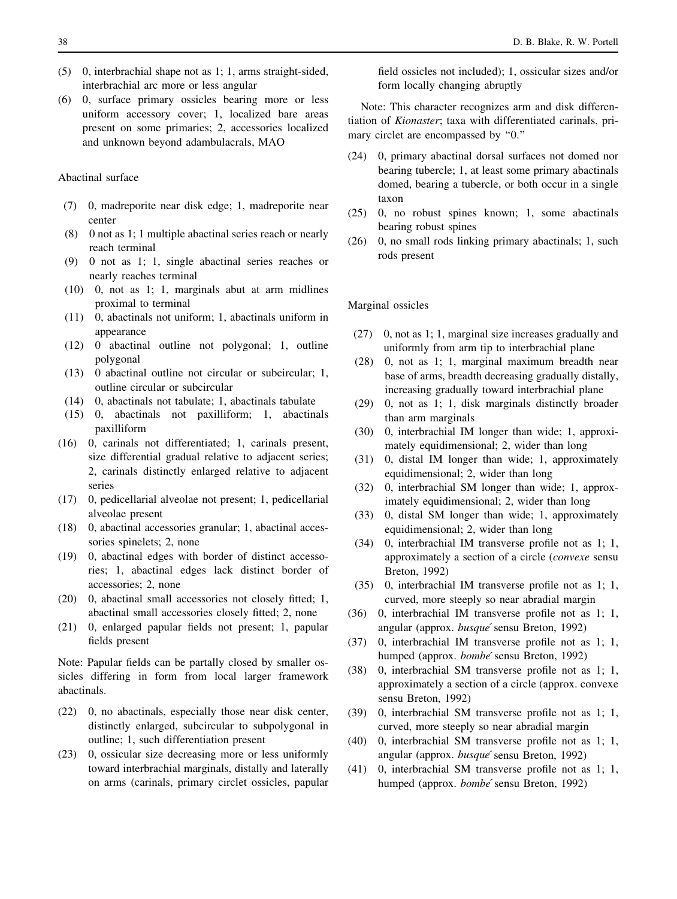- (5) 0, interbrachial shape not as 1; 1, arms straight-sided, interbrachial arc more or less angular
- (6) 0, surface primary ossicles bearing more or less uniform accessory cover; 1, localized bare areas present on some primaries; 2, accessories localized and unknown beyond adambulacrals, MAO

#### Abactinal surface

- (7) 0, madreporite near disk edge; 1, madreporite near center
- (8) 0 not as 1; 1 multiple abactinal series reach or nearly reach terminal
- (9) 0 not as 1; 1, single abactinal series reaches or nearly reaches terminal
- (10) 0, not as 1; 1, marginals abut at arm midlines proximal to terminal
- (11) 0, abactinals not uniform; 1, abactinals uniform in appearance
- (12) 0 abactinal outline not polygonal; 1, outline polygonal
- (13) 0 abactinal outline not circular or subcircular; 1, outline circular or subcircular
- (14) 0, abactinals not tabulate; 1, abactinals tabulate
- (15) 0, abactinals not paxilliform; 1, abactinals paxilliform
- (16) 0, carinals not differentiated; 1, carinals present, size differential gradual relative to adjacent series; 2, carinals distinctly enlarged relative to adjacent series
- (17) 0, pedicellarial alveolae not present; 1, pedicellarial alveolae present
- (18) 0, abactinal accessories granular; 1, abactinal accessories spinelets; 2, none
- (19) 0, abactinal edges with border of distinct accessories; 1, abactinal edges lack distinct border of accessories; 2, none
- (20) 0, abactinal small accessories not closely fitted; 1, abactinal small accessories closely fitted; 2, none
- (21) 0, enlarged papular fields not present; 1, papular fields present

Note: Papular fields can be partally closed by smaller ossicles differing in form from local larger framework abactinals.

- (22) 0, no abactinals, especially those near disk center, distinctly enlarged, subcircular to subpolygonal in outline; 1, such differentiation present
- (23) 0, ossicular size decreasing more or less uniformly toward interbrachial marginals, distally and laterally on arms (carinals, primary circlet ossicles, papular

field ossicles not included); 1, ossicular sizes and/or form locally changing abruptly

Note: This character recognizes arm and disk differentiation of Kionaster; taxa with differentiated carinals, primary circlet are encompassed by ''0.''

- (24) 0, primary abactinal dorsal surfaces not domed nor bearing tubercle; 1, at least some primary abactinals domed, bearing a tubercle, or both occur in a single taxon
- (25) 0, no robust spines known; 1, some abactinals bearing robust spines
- (26) 0, no small rods linking primary abactinals; 1, such rods present

## Marginal ossicles

- (27) 0, not as 1; 1, marginal size increases gradually and uniformly from arm tip to interbrachial plane
- (28) 0, not as 1; 1, marginal maximum breadth near base of arms, breadth decreasing gradually distally, increasing gradually toward interbrachial plane
- (29) 0, not as 1; 1, disk marginals distinctly broader than arm marginals
- (30) 0, interbrachial IM longer than wide; 1, approximately equidimensional; 2, wider than long
- (31) 0, distal IM longer than wide; 1, approximately equidimensional; 2, wider than long
- (32) 0, interbrachial SM longer than wide; 1, approximately equidimensional; 2, wider than long
- (33) 0, distal SM longer than wide; 1, approximately equidimensional; 2, wider than long
- (34) 0, interbrachial IM transverse profile not as 1; 1, approximately a section of a circle (convexe sensu Breton, 1992)
- (35) 0, interbrachial IM transverse profile not as 1; 1, curved, more steeply so near abradial margin
- (36) 0, interbrachial IM transverse profile not as 1; 1, angular (approx. busque´ sensu Breton, 1992)
- (37) 0, interbrachial IM transverse profile not as 1; 1, humped (approx. bombe' sensu Breton, 1992)
- (38) 0, interbrachial SM transverse profile not as 1; 1, approximately a section of a circle (approx. convexe sensu Breton, 1992)
- (39) 0, interbrachial SM transverse profile not as 1; 1, curved, more steeply so near abradial margin
- (40) 0, interbrachial SM transverse profile not as 1; 1, angular (approx. busque´ sensu Breton, 1992)
- (41) 0, interbrachial SM transverse profile not as 1; 1, humped (approx. *bombé* sensu Breton, 1992)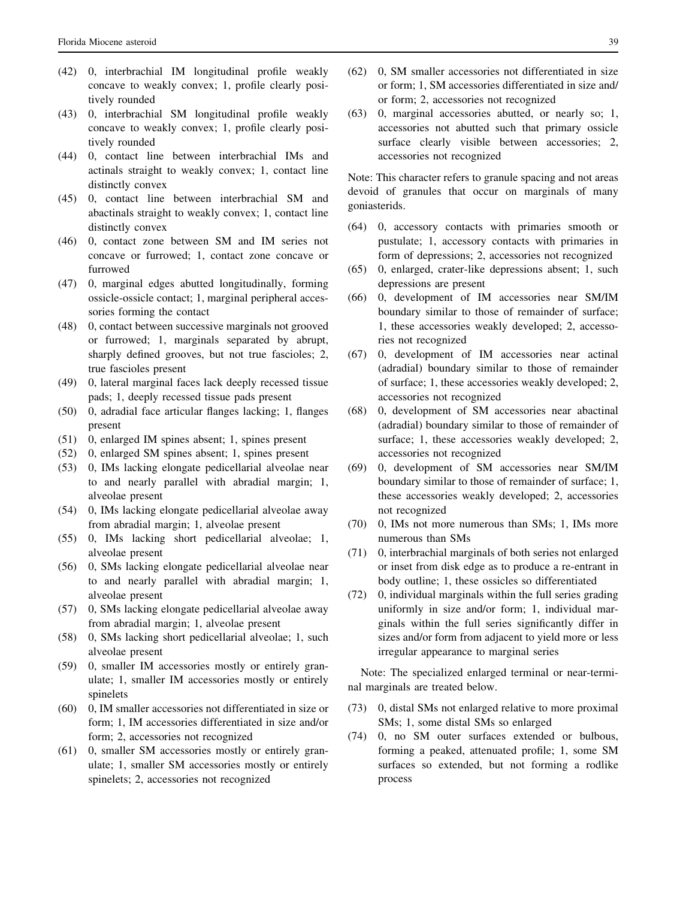- (42) 0, interbrachial IM longitudinal profile weakly concave to weakly convex; 1, profile clearly positively rounded
- (43) 0, interbrachial SM longitudinal profile weakly concave to weakly convex; 1, profile clearly positively rounded
- (44) 0, contact line between interbrachial IMs and actinals straight to weakly convex; 1, contact line distinctly convex
- (45) 0, contact line between interbrachial SM and abactinals straight to weakly convex; 1, contact line distinctly convex
- (46) 0, contact zone between SM and IM series not concave or furrowed; 1, contact zone concave or furrowed
- (47) 0, marginal edges abutted longitudinally, forming ossicle-ossicle contact; 1, marginal peripheral accessories forming the contact
- (48) 0, contact between successive marginals not grooved or furrowed; 1, marginals separated by abrupt, sharply defined grooves, but not true fascioles; 2, true fascioles present
- (49) 0, lateral marginal faces lack deeply recessed tissue pads; 1, deeply recessed tissue pads present
- (50) 0, adradial face articular flanges lacking; 1, flanges present
- (51) 0, enlarged IM spines absent; 1, spines present
- (52) 0, enlarged SM spines absent; 1, spines present
- (53) 0, IMs lacking elongate pedicellarial alveolae near to and nearly parallel with abradial margin; 1, alveolae present
- (54) 0, IMs lacking elongate pedicellarial alveolae away from abradial margin; 1, alveolae present
- (55) 0, IMs lacking short pedicellarial alveolae; 1, alveolae present
- (56) 0, SMs lacking elongate pedicellarial alveolae near to and nearly parallel with abradial margin; 1, alveolae present
- (57) 0, SMs lacking elongate pedicellarial alveolae away from abradial margin; 1, alveolae present
- (58) 0, SMs lacking short pedicellarial alveolae; 1, such alveolae present
- (59) 0, smaller IM accessories mostly or entirely granulate; 1, smaller IM accessories mostly or entirely spinelets
- (60) 0, IM smaller accessories not differentiated in size or form; 1, IM accessories differentiated in size and/or form; 2, accessories not recognized
- (61) 0, smaller SM accessories mostly or entirely granulate; 1, smaller SM accessories mostly or entirely spinelets; 2, accessories not recognized
- (62) 0, SM smaller accessories not differentiated in size or form; 1, SM accessories differentiated in size and/ or form; 2, accessories not recognized
- (63) 0, marginal accessories abutted, or nearly so; 1, accessories not abutted such that primary ossicle surface clearly visible between accessories; 2, accessories not recognized

Note: This character refers to granule spacing and not areas devoid of granules that occur on marginals of many goniasterids.

- (64) 0, accessory contacts with primaries smooth or pustulate; 1, accessory contacts with primaries in form of depressions; 2, accessories not recognized
- (65) 0, enlarged, crater-like depressions absent; 1, such depressions are present
- (66) 0, development of IM accessories near SM/IM boundary similar to those of remainder of surface; 1, these accessories weakly developed; 2, accessories not recognized
- (67) 0, development of IM accessories near actinal (adradial) boundary similar to those of remainder of surface; 1, these accessories weakly developed; 2, accessories not recognized
- (68) 0, development of SM accessories near abactinal (adradial) boundary similar to those of remainder of surface; 1, these accessories weakly developed; 2, accessories not recognized
- (69) 0, development of SM accessories near SM/IM boundary similar to those of remainder of surface; 1, these accessories weakly developed; 2, accessories not recognized
- (70) 0, IMs not more numerous than SMs; 1, IMs more numerous than SMs
- (71) 0, interbrachial marginals of both series not enlarged or inset from disk edge as to produce a re-entrant in body outline; 1, these ossicles so differentiated
- (72) 0, individual marginals within the full series grading uniformly in size and/or form; 1, individual marginals within the full series significantly differ in sizes and/or form from adjacent to yield more or less irregular appearance to marginal series

Note: The specialized enlarged terminal or near-terminal marginals are treated below.

- (73) 0, distal SMs not enlarged relative to more proximal SMs; 1, some distal SMs so enlarged
- (74) 0, no SM outer surfaces extended or bulbous, forming a peaked, attenuated profile; 1, some SM surfaces so extended, but not forming a rodlike process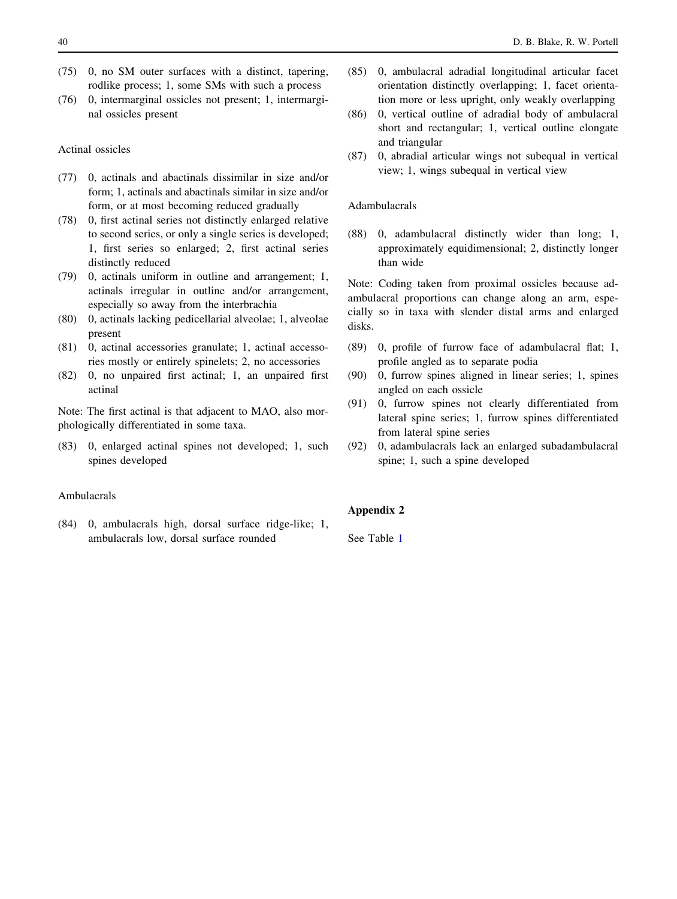- <span id="page-15-0"></span>(75) 0, no SM outer surfaces with a distinct, tapering, rodlike process; 1, some SMs with such a process
- (76) 0, intermarginal ossicles not present; 1, intermarginal ossicles present

# Actinal ossicles

- (77) 0, actinals and abactinals dissimilar in size and/or form; 1, actinals and abactinals similar in size and/or form, or at most becoming reduced gradually
- (78) 0, first actinal series not distinctly enlarged relative to second series, or only a single series is developed; 1, first series so enlarged; 2, first actinal series distinctly reduced
- (79) 0, actinals uniform in outline and arrangement; 1, actinals irregular in outline and/or arrangement, especially so away from the interbrachia
- (80) 0, actinals lacking pedicellarial alveolae; 1, alveolae present
- (81) 0, actinal accessories granulate; 1, actinal accessories mostly or entirely spinelets; 2, no accessories
- (82) 0, no unpaired first actinal; 1, an unpaired first actinal

Note: The first actinal is that adjacent to MAO, also morphologically differentiated in some taxa.

(83) 0, enlarged actinal spines not developed; 1, such spines developed

# Ambulacrals

(84) 0, ambulacrals high, dorsal surface ridge-like; 1, ambulacrals low, dorsal surface rounded

- (85) 0, ambulacral adradial longitudinal articular facet orientation distinctly overlapping; 1, facet orientation more or less upright, only weakly overlapping
- (86) 0, vertical outline of adradial body of ambulacral short and rectangular; 1, vertical outline elongate and triangular
- (87) 0, abradial articular wings not subequal in vertical view; 1, wings subequal in vertical view

#### Adambulacrals

(88) 0, adambulacral distinctly wider than long; 1, approximately equidimensional; 2, distinctly longer than wide

Note: Coding taken from proximal ossicles because adambulacral proportions can change along an arm, especially so in taxa with slender distal arms and enlarged disks.

- (89) 0, profile of furrow face of adambulacral flat; 1, profile angled as to separate podia
- (90) 0, furrow spines aligned in linear series; 1, spines angled on each ossicle
- (91) 0, furrow spines not clearly differentiated from lateral spine series; 1, furrow spines differentiated from lateral spine series
- (92) 0, adambulacrals lack an enlarged subadambulacral spine; 1, such a spine developed

#### Appendix 2

See Table [1](#page-16-0)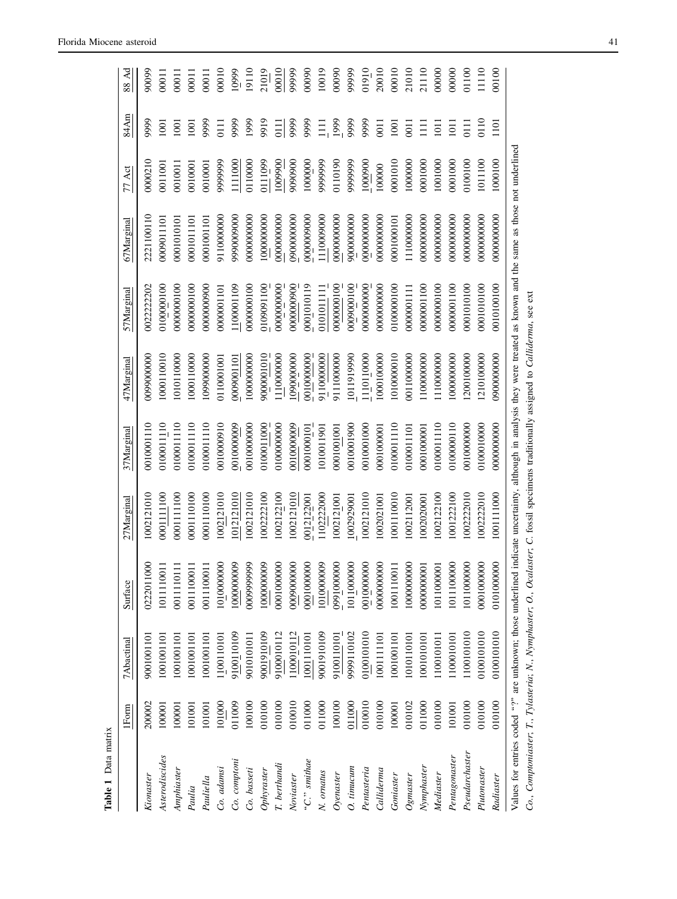<span id="page-16-0"></span>

|                  |                   |                          |             |             |            |               |            | Values for entries coded "?" are unknown; those underlined indicate uncertainty, although in analysis they were treated as known and the same as those not underlined<br>Co., Comptoniaster; T., Tylasteria; N., Nymphaster; O., Ocalaster; C. fossil specimens traditionally assigned to Calliderma, see ext |              |        |                |
|------------------|-------------------|--------------------------|-------------|-------------|------------|---------------|------------|---------------------------------------------------------------------------------------------------------------------------------------------------------------------------------------------------------------------------------------------------------------------------------------------------------------|--------------|--------|----------------|
| 00100            | 1101              | 1000100                  |             | 0010100100  | 0900000000 | 0000000000    | 1001111000 | 0101000000                                                                                                                                                                                                                                                                                                    | 0100101010   | 010100 | Radiaster      |
| 1110             | 0110              | 1011100                  | 0000000000  | 0001010100  | 210100000  | 0100010000    | 1002222010 | 00000000000                                                                                                                                                                                                                                                                                                   | 0100101010   | 010100 | Plutonaster    |
| 01100            | $\frac{11}{11}$   | 0100100                  | 0000000000  | 2001010100  | 200100000  | 000000010C    | 002222010  | 1011000000                                                                                                                                                                                                                                                                                                    | 100101010    | 010100 | Pseudarchaster |
| 00000            | 1011              | 0001000                  | 0000000000  | 0000001100  | 1000000000 | 0100000110    | 001222100  | 1011100000                                                                                                                                                                                                                                                                                                    | 1100010101   | 101001 | Pentagonaster  |
| 00000            | 1011              | 1001000                  |             | 0000000100  | 110000000  | 0111100011    | 1002122100 | 1011000001                                                                                                                                                                                                                                                                                                    | 100101011    | 010100 | Mediaster      |
| 21110            | $\overline{111}$  | 0001000                  | 0000000000  | 0000001100  | 1100000000 | 0001000001    | 1002020001 | 0000000001                                                                                                                                                                                                                                                                                                    | 1001010101   | 011000 | Nymphaster     |
| 21010            | $\overline{0011}$ | 1000000                  | 110000000   | 0000001111  | 0011000000 | 0100011101    | 1002112001 | 100000000                                                                                                                                                                                                                                                                                                     | 1010110101   | 010102 | $O$ gnaster    |
| 00010            | 1001              | 0001010                  | 0001000101  | 0100000100  | 010000010  | 0100011110    | 001110010  | 1001110011                                                                                                                                                                                                                                                                                                    | 1001001101   | 100001 | Goniaster      |
|                  | 0011              |                          | 0000000000  | 0000000000  | 1000100000 | 0001000001    | 002021001  | 000000000                                                                                                                                                                                                                                                                                                     | 1001111101   | 010100 | Calliderma     |
| 01910<br>20010   | 9999              | $\frac{1000900}{100000}$ | 00000000000 | 0000000000  | 1110110000 | 0010001000    | 1002121010 | 0010000000                                                                                                                                                                                                                                                                                                    | 0100101010   | 010010 | Pentasteria    |
| 9999             |                   | 666666                   | 9000000000  | 0009000100  | 1011919990 | 0010001900    | 1002929001 | 1011000000                                                                                                                                                                                                                                                                                                    | 999110102    | 011000 | $O.$ timucum   |
| 00090            | 1999<br>9999      | 0110190                  | 0000000000  | 0000000100  | 9111000000 | 0001001001    | 1002121001 | 0000001660                                                                                                                                                                                                                                                                                                    | 9100110101   | 100100 | Oyenaster      |
| 10019            | $\Xi$ .           | 666666                   | 110009000   | 0101011111  | 0000000116 | 1010011901    | 102222000  | 101000009                                                                                                                                                                                                                                                                                                     | 9001910109   | 011000 | N. ornatus     |
| 00090            | 9999              | 1000000                  |             | 0001010119  |            | 0001000101    | 0012122001 | 0001000000                                                                                                                                                                                                                                                                                                    | 1001110101   | 011000 | $C$ ." smithae |
| 9999             | 999               |                          | 0900000000  | 0000000000  | 000000000  | 0000000100    | 1002121010 | 0009000000                                                                                                                                                                                                                                                                                                    | 100010112    | 010010 | Noviaster      |
| $rac{100}{2000}$ | $\frac{11}{2}$    | 0060601                  | 0000000000  | 0000000000  | 110000000  | 0100000000    | 1002122100 | 0001000000                                                                                                                                                                                                                                                                                                    | 9100010112   | 010100 | T. berthandi   |
| 21019            | 919               | 0111099                  | 1000000000  | 0109091100  |            | 0100011000    | 1002222100 | 100000009                                                                                                                                                                                                                                                                                                     | 9001910109   | 010100 | Ophyraster     |
|                  | 1999              | 0110000                  | 0000000000  | 0000000100  | 100000000  | 0010000000    | 1002121010 | 000999999                                                                                                                                                                                                                                                                                                     | 9010101011   | 100100 | Co. basseti    |
| 19110<br>19110   | 9999              | 1111000                  | 9990009000  | 1100001109  | 0009001101 | 0010000009    | 1012121010 | 100000009                                                                                                                                                                                                                                                                                                     | 9100110109   | 011009 | Co. comptoni   |
| 00010            | 111               | 666666                   | 9110000000  | 00000001101 | 0110001001 | 010000910     | 002121010  | 1010000000                                                                                                                                                                                                                                                                                                    | $1100110101$ | 101000 | Co. adamsi     |
| 00011            | <b>6666</b>       | 0010001                  | 0001001101  | 0000000000  | 0990000000 | 0100011110    | 0001110100 | 0011100011                                                                                                                                                                                                                                                                                                    | 1001001101   | 101001 | Pauliella      |
| <b>1100C</b>     | 1001              | 0010001                  | 001011101   | 00000000100 | 1000110000 | 0111100011110 | 0001110100 | 0011100011                                                                                                                                                                                                                                                                                                    | 1001001101   | 101001 | Paulia         |
| 100011           | 1001              | 0010011                  | 0001010101  | 00000000100 | 1010110000 | 0100011110    | 000111100  | 0011110111                                                                                                                                                                                                                                                                                                    | 1001001101   | 100001 | Amphiaster     |
| 100011           | 1001              | 0011001                  | 0009011101  | 0100000100  | 1000110010 | 0100011110    | 001111100  | 1011110011                                                                                                                                                                                                                                                                                                    | 001001101    | 100001 | Asterodiscides |
| 90099            | 9999              | 0000210                  | 2221100110  | 0022222202  | 0099000000 | 0010001110    | 1002121010 | 0222011000                                                                                                                                                                                                                                                                                                    | 9001001101   | 200002 | Kionaster      |
| 88 Ad            | 84Am              | 77 Act                   | 67Marginal  | 57Marginal  | 47Marginal | 37Marginal    | 27Marginal | Surface                                                                                                                                                                                                                                                                                                       | 7Abactinal   | 1Form  |                |

Table 1 Data matrix

Table 1 Data matrix